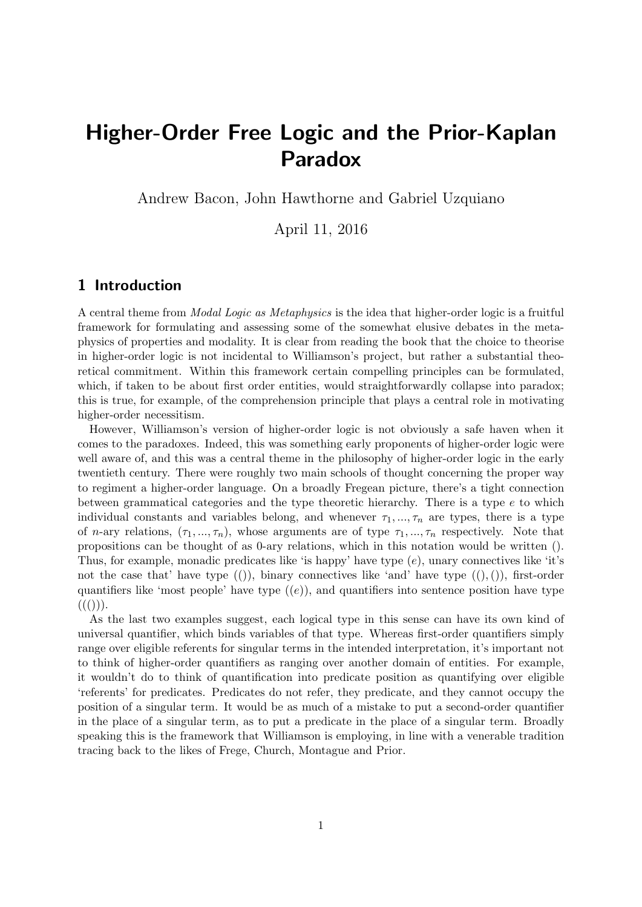# Higher-Order Free Logic and the Prior-Kaplan Paradox

Andrew Bacon, John Hawthorne and Gabriel Uzquiano

April 11, 2016

### 1 Introduction

A central theme from Modal Logic as Metaphysics is the idea that higher-order logic is a fruitful framework for formulating and assessing some of the somewhat elusive debates in the metaphysics of properties and modality. It is clear from reading the book that the choice to theorise in higher-order logic is not incidental to Williamson's project, but rather a substantial theoretical commitment. Within this framework certain compelling principles can be formulated, which, if taken to be about first order entities, would straightforwardly collapse into paradox; this is true, for example, of the comprehension principle that plays a central role in motivating higher-order necessitism.

However, Williamson's version of higher-order logic is not obviously a safe haven when it comes to the paradoxes. Indeed, this was something early proponents of higher-order logic were well aware of, and this was a central theme in the philosophy of higher-order logic in the early twentieth century. There were roughly two main schools of thought concerning the proper way to regiment a higher-order language. On a broadly Fregean picture, there's a tight connection between grammatical categories and the type theoretic hierarchy. There is a type  $e$  to which individual constants and variables belong, and whenever  $\tau_1, \ldots, \tau_n$  are types, there is a type of *n*-ary relations,  $(\tau_1, ..., \tau_n)$ , whose arguments are of type  $\tau_1, ..., \tau_n$  respectively. Note that propositions can be thought of as 0-ary relations, which in this notation would be written (). Thus, for example, monadic predicates like 'is happy' have type  $(e)$ , unary connectives like 'it's not the case that' have type  $(())$ , binary connectives like 'and' have type  $((),))$ , first-order quantifiers like 'most people' have type  $((e))$ , and quantifiers into sentence position have type  $((())).$ 

As the last two examples suggest, each logical type in this sense can have its own kind of universal quantifier, which binds variables of that type. Whereas first-order quantifiers simply range over eligible referents for singular terms in the intended interpretation, it's important not to think of higher-order quantifiers as ranging over another domain of entities. For example, it wouldn't do to think of quantification into predicate position as quantifying over eligible 'referents' for predicates. Predicates do not refer, they predicate, and they cannot occupy the position of a singular term. It would be as much of a mistake to put a second-order quantifier in the place of a singular term, as to put a predicate in the place of a singular term. Broadly speaking this is the framework that Williamson is employing, in line with a venerable tradition tracing back to the likes of Frege, Church, Montague and Prior.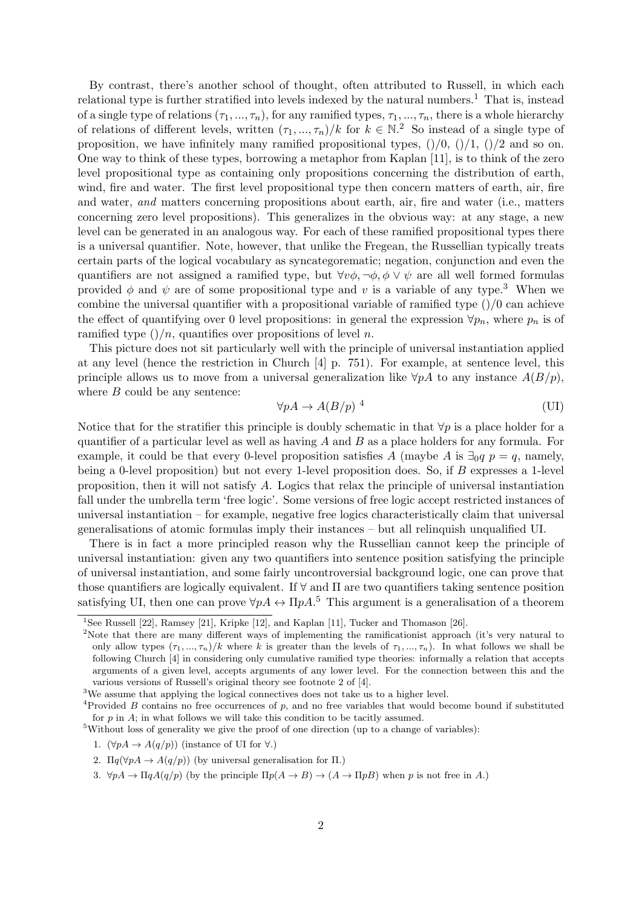By contrast, there's another school of thought, often attributed to Russell, in which each relational type is further stratified into levels indexed by the natural numbers.<sup>1</sup> That is, instead of a single type of relations  $(\tau_1, ..., \tau_n)$ , for any ramified types,  $\tau_1, ..., \tau_n$ , there is a whole hierarchy of relations of different levels, written  $(\tau_1, ..., \tau_n)/k$  for  $k \in \mathbb{N}^2$ . So instead of a single type of proposition, we have infinitely many ramified propositional types,  $()/0, ()/1, ()/2$  and so on. One way to think of these types, borrowing a metaphor from Kaplan [11], is to think of the zero level propositional type as containing only propositions concerning the distribution of earth, wind, fire and water. The first level propositional type then concern matters of earth, air, fire and water, and matters concerning propositions about earth, air, fire and water (i.e., matters concerning zero level propositions). This generalizes in the obvious way: at any stage, a new level can be generated in an analogous way. For each of these ramified propositional types there is a universal quantifier. Note, however, that unlike the Fregean, the Russellian typically treats certain parts of the logical vocabulary as syncategorematic; negation, conjunction and even the quantifiers are not assigned a ramified type, but  $\forall v \phi, \neg \phi, \phi \lor \psi$  are all well formed formulas provided  $\phi$  and  $\psi$  are of some propositional type and v is a variable of any type.<sup>3</sup> When we combine the universal quantifier with a propositional variable of ramified type  $\frac{1}{0}$  can achieve the effect of quantifying over 0 level propositions: in general the expression  $\forall p_n$ , where  $p_n$  is of ramified type  $\left(\frac{n}{n}\right)$ , quantifies over propositions of level n.

This picture does not sit particularly well with the principle of universal instantiation applied at any level (hence the restriction in Church [4] p. 751). For example, at sentence level, this principle allows us to move from a universal generalization like  $\forall p\hat{A}$  to any instance  $A(B/p)$ , where  $B$  could be any sentence:

$$
\forall pA \to A(B/p)^{-4} \tag{UI}
$$

Notice that for the stratifier this principle is doubly schematic in that  $\forall p$  is a place holder for a quantifier of a particular level as well as having  $A$  and  $B$  as a place holders for any formula. For example, it could be that every 0-level proposition satisfies A (maybe A is  $\exists_0 q \ p = q$ , namely, being a 0-level proposition) but not every 1-level proposition does. So, if B expresses a 1-level proposition, then it will not satisfy A. Logics that relax the principle of universal instantiation fall under the umbrella term 'free logic'. Some versions of free logic accept restricted instances of universal instantiation – for example, negative free logics characteristically claim that universal generalisations of atomic formulas imply their instances – but all relinquish unqualified UI.

There is in fact a more principled reason why the Russellian cannot keep the principle of universal instantiation: given any two quantifiers into sentence position satisfying the principle of universal instantiation, and some fairly uncontroversial background logic, one can prove that those quantifiers are logically equivalent. If  $\forall$  and  $\Pi$  are two quantifiers taking sentence position satisfying UI, then one can prove  $\forall pA \leftrightarrow \Pi pA$ <sup>5</sup>. This argument is a generalisation of a theorem

<sup>&</sup>lt;sup>1</sup>See Russell [22], Ramsey [21], Kripke [12], and Kaplan [11], Tucker and Thomason [26].

<sup>&</sup>lt;sup>2</sup>Note that there are many different ways of implementing the ramificationist approach (it's very natural to only allow types  $(\tau_1, ..., \tau_n)/k$  where k is greater than the levels of  $\tau_1, ..., \tau_n$ ). In what follows we shall be following Church [4] in considering only cumulative ramified type theories: informally a relation that accepts arguments of a given level, accepts arguments of any lower level. For the connection between this and the various versions of Russell's original theory see footnote 2 of [4].

<sup>&</sup>lt;sup>3</sup>We assume that applying the logical connectives does not take us to a higher level.

<sup>&</sup>lt;sup>4</sup>Provided B contains no free occurrences of  $p$ , and no free variables that would become bound if substituted for  $p$  in  $A$ ; in what follows we will take this condition to be tacitly assumed.

<sup>5</sup>Without loss of generality we give the proof of one direction (up to a change of variables):

<sup>1.</sup>  $(\forall pA \rightarrow A(q/p))$  (instance of UI for  $\forall$ .)

<sup>2.</sup>  $\Pi q(\forall pA \rightarrow A(q/p))$  (by universal generalisation for  $\Pi$ .)

<sup>3.</sup>  $\forall pA \rightarrow \Pi qA(q/p)$  (by the principle  $\Pi p(A \rightarrow B) \rightarrow (A \rightarrow \Pi pB)$  when p is not free in A.)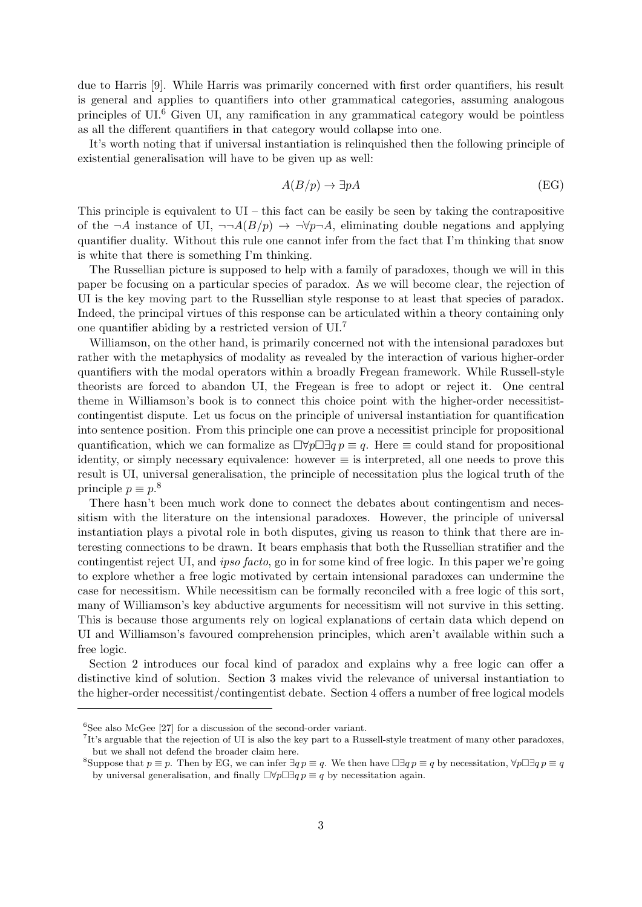due to Harris [9]. While Harris was primarily concerned with first order quantifiers, his result is general and applies to quantifiers into other grammatical categories, assuming analogous principles of  $UI<sup>6</sup>$  Given UI, any ramification in any grammatical category would be pointless as all the different quantifiers in that category would collapse into one.

It's worth noting that if universal instantiation is relinquished then the following principle of existential generalisation will have to be given up as well:

$$
A(B/p) \to \exists pA \tag{EG}
$$

This principle is equivalent to  $UI -$  this fact can be easily be seen by taking the contrapositive of the  $\neg A$  instance of UI,  $\neg\neg A(B/p) \rightarrow \neg \forall p \neg A$ , eliminating double negations and applying quantifier duality. Without this rule one cannot infer from the fact that I'm thinking that snow is white that there is something I'm thinking.

The Russellian picture is supposed to help with a family of paradoxes, though we will in this paper be focusing on a particular species of paradox. As we will become clear, the rejection of UI is the key moving part to the Russellian style response to at least that species of paradox. Indeed, the principal virtues of this response can be articulated within a theory containing only one quantifier abiding by a restricted version of UI.<sup>7</sup>

Williamson, on the other hand, is primarily concerned not with the intensional paradoxes but rather with the metaphysics of modality as revealed by the interaction of various higher-order quantifiers with the modal operators within a broadly Fregean framework. While Russell-style theorists are forced to abandon UI, the Fregean is free to adopt or reject it. One central theme in Williamson's book is to connect this choice point with the higher-order necessitistcontingentist dispute. Let us focus on the principle of universal instantiation for quantification into sentence position. From this principle one can prove a necessitist principle for propositional quantification, which we can formalize as  $\Box \forall p \Box \exists q p \equiv q$ . Here  $\equiv$  could stand for propositional identity, or simply necessary equivalence: however  $\equiv$  is interpreted, all one needs to prove this result is UI, universal generalisation, the principle of necessitation plus the logical truth of the principle  $p \equiv p^8$ .

There hasn't been much work done to connect the debates about contingentism and necessitism with the literature on the intensional paradoxes. However, the principle of universal instantiation plays a pivotal role in both disputes, giving us reason to think that there are interesting connections to be drawn. It bears emphasis that both the Russellian stratifier and the contingentist reject UI, and ipso facto, go in for some kind of free logic. In this paper we're going to explore whether a free logic motivated by certain intensional paradoxes can undermine the case for necessitism. While necessitism can be formally reconciled with a free logic of this sort, many of Williamson's key abductive arguments for necessitism will not survive in this setting. This is because those arguments rely on logical explanations of certain data which depend on UI and Williamson's favoured comprehension principles, which aren't available within such a free logic.

Section 2 introduces our focal kind of paradox and explains why a free logic can offer a distinctive kind of solution. Section 3 makes vivid the relevance of universal instantiation to the higher-order necessitist/contingentist debate. Section 4 offers a number of free logical models

 ${}^{6}$ See also McGee [27] for a discussion of the second-order variant.

<sup>&</sup>lt;sup>7</sup>It's arguable that the rejection of UI is also the key part to a Russell-style treatment of many other paradoxes, but we shall not defend the broader claim here.

<sup>&</sup>lt;sup>8</sup>Suppose that  $p \equiv p$ . Then by EG, we can infer  $\exists q p \equiv q$ . We then have  $\Box \exists q p \equiv q$  by necessitation,  $\forall p \Box \exists q p \equiv q$ by universal generalisation, and finally  $\Box \forall p \Box \exists q p \equiv q$  by necessitation again.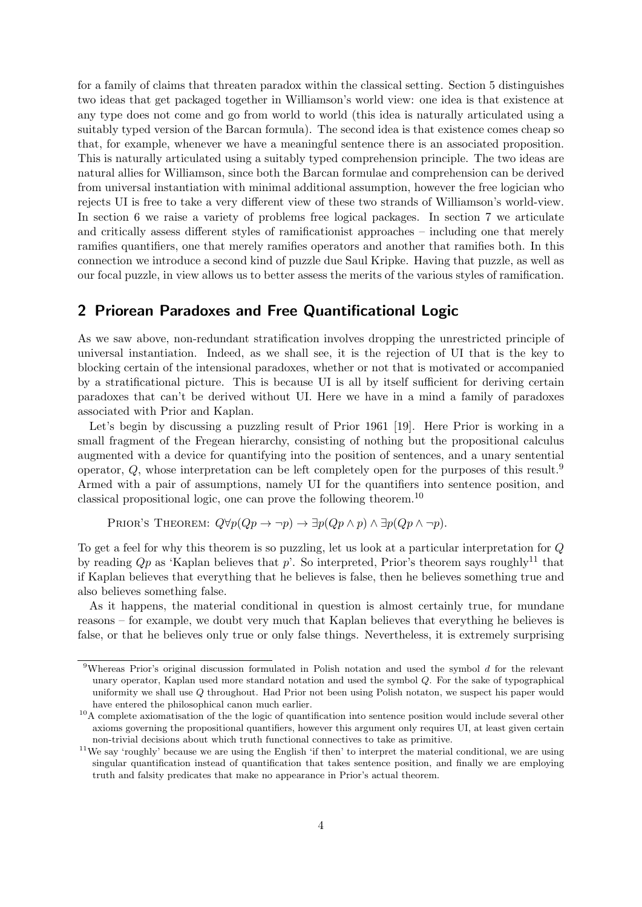for a family of claims that threaten paradox within the classical setting. Section 5 distinguishes two ideas that get packaged together in Williamson's world view: one idea is that existence at any type does not come and go from world to world (this idea is naturally articulated using a suitably typed version of the Barcan formula). The second idea is that existence comes cheap so that, for example, whenever we have a meaningful sentence there is an associated proposition. This is naturally articulated using a suitably typed comprehension principle. The two ideas are natural allies for Williamson, since both the Barcan formulae and comprehension can be derived from universal instantiation with minimal additional assumption, however the free logician who rejects UI is free to take a very different view of these two strands of Williamson's world-view. In section 6 we raise a variety of problems free logical packages. In section 7 we articulate and critically assess different styles of ramificationist approaches – including one that merely ramifies quantifiers, one that merely ramifies operators and another that ramifies both. In this connection we introduce a second kind of puzzle due Saul Kripke. Having that puzzle, as well as our focal puzzle, in view allows us to better assess the merits of the various styles of ramification.

### 2 Priorean Paradoxes and Free Quantificational Logic

As we saw above, non-redundant stratification involves dropping the unrestricted principle of universal instantiation. Indeed, as we shall see, it is the rejection of UI that is the key to blocking certain of the intensional paradoxes, whether or not that is motivated or accompanied by a stratificational picture. This is because UI is all by itself sufficient for deriving certain paradoxes that can't be derived without UI. Here we have in a mind a family of paradoxes associated with Prior and Kaplan.

Let's begin by discussing a puzzling result of Prior 1961 [19]. Here Prior is working in a small fragment of the Fregean hierarchy, consisting of nothing but the propositional calculus augmented with a device for quantifying into the position of sentences, and a unary sentential operator,  $Q$ , whose interpretation can be left completely open for the purposes of this result.<sup>9</sup> Armed with a pair of assumptions, namely UI for the quantifiers into sentence position, and classical propositional logic, one can prove the following theorem.<sup>10</sup>

PRIOR'S THEOREM:  $Q\forall p(Qp \rightarrow \neg p) \rightarrow \exists p(Qp \land p) \land \exists p(Qp \land \neg p)$ .

To get a feel for why this theorem is so puzzling, let us look at a particular interpretation for Q by reading  $Qp$  as 'Kaplan believes that p'. So interpreted, Prior's theorem says roughly<sup>11</sup> that if Kaplan believes that everything that he believes is false, then he believes something true and also believes something false.

As it happens, the material conditional in question is almost certainly true, for mundane reasons – for example, we doubt very much that Kaplan believes that everything he believes is false, or that he believes only true or only false things. Nevertheless, it is extremely surprising

<sup>&</sup>lt;sup>9</sup>Whereas Prior's original discussion formulated in Polish notation and used the symbol  $d$  for the relevant unary operator, Kaplan used more standard notation and used the symbol Q. For the sake of typographical uniformity we shall use  $\Omega$  throughout. Had Prior not been using Polish notaton, we suspect his paper would have entered the philosophical canon much earlier.

<sup>&</sup>lt;sup>10</sup>A complete axiomatisation of the the logic of quantification into sentence position would include several other axioms governing the propositional quantifiers, however this argument only requires UI, at least given certain non-trivial decisions about which truth functional connectives to take as primitive.

 $11$ We say 'roughly' because we are using the English 'if then' to interpret the material conditional, we are using singular quantification instead of quantification that takes sentence position, and finally we are employing truth and falsity predicates that make no appearance in Prior's actual theorem.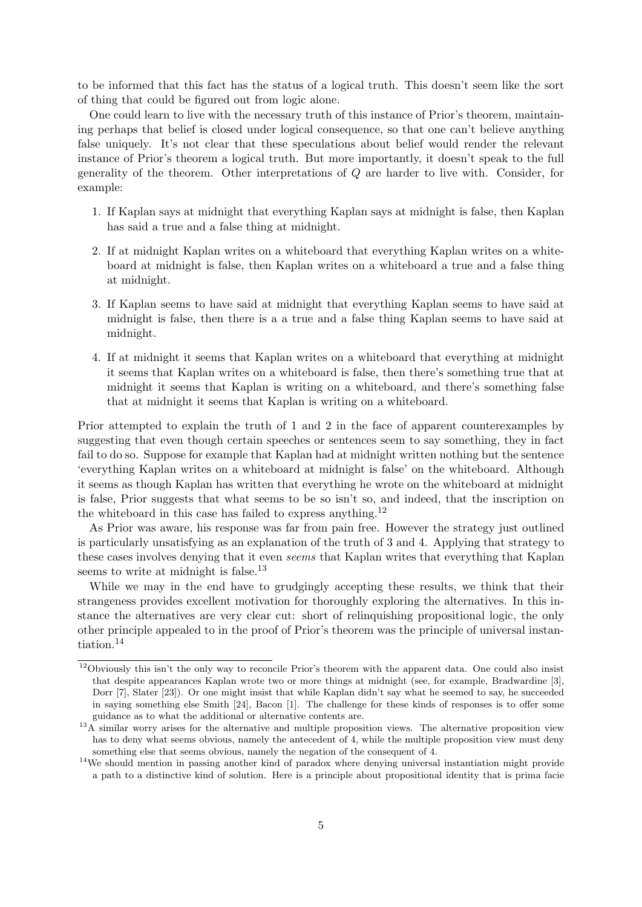to be informed that this fact has the status of a logical truth. This doesn't seem like the sort of thing that could be figured out from logic alone.

One could learn to live with the necessary truth of this instance of Prior's theorem, maintaining perhaps that belief is closed under logical consequence, so that one can't believe anything false uniquely. It's not clear that these speculations about belief would render the relevant instance of Prior's theorem a logical truth. But more importantly, it doesn't speak to the full generality of the theorem. Other interpretations of Q are harder to live with. Consider, for example:

- 1. If Kaplan says at midnight that everything Kaplan says at midnight is false, then Kaplan has said a true and a false thing at midnight.
- 2. If at midnight Kaplan writes on a whiteboard that everything Kaplan writes on a whiteboard at midnight is false, then Kaplan writes on a whiteboard a true and a false thing at midnight.
- 3. If Kaplan seems to have said at midnight that everything Kaplan seems to have said at midnight is false, then there is a a true and a false thing Kaplan seems to have said at midnight.
- 4. If at midnight it seems that Kaplan writes on a whiteboard that everything at midnight it seems that Kaplan writes on a whiteboard is false, then there's something true that at midnight it seems that Kaplan is writing on a whiteboard, and there's something false that at midnight it seems that Kaplan is writing on a whiteboard.

Prior attempted to explain the truth of 1 and 2 in the face of apparent counterexamples by suggesting that even though certain speeches or sentences seem to say something, they in fact fail to do so. Suppose for example that Kaplan had at midnight written nothing but the sentence 'everything Kaplan writes on a whiteboard at midnight is false' on the whiteboard. Although it seems as though Kaplan has written that everything he wrote on the whiteboard at midnight is false, Prior suggests that what seems to be so isn't so, and indeed, that the inscription on the whiteboard in this case has failed to express anything.<sup>12</sup>

As Prior was aware, his response was far from pain free. However the strategy just outlined is particularly unsatisfying as an explanation of the truth of 3 and 4. Applying that strategy to these cases involves denying that it even seems that Kaplan writes that everything that Kaplan seems to write at midnight is false.<sup>13</sup>

While we may in the end have to grudgingly accepting these results, we think that their strangeness provides excellent motivation for thoroughly exploring the alternatives. In this instance the alternatives are very clear cut: short of relinquishing propositional logic, the only other principle appealed to in the proof of Prior's theorem was the principle of universal instantiation.<sup>14</sup>

<sup>&</sup>lt;sup>12</sup>Obviously this isn't the only way to reconcile Prior's theorem with the apparent data. One could also insist that despite appearances Kaplan wrote two or more things at midnight (see, for example, Bradwardine [3], Dorr [7], Slater [23]). Or one might insist that while Kaplan didn't say what he seemed to say, he succeeded in saying something else Smith [24], Bacon [1]. The challenge for these kinds of responses is to offer some guidance as to what the additional or alternative contents are.

 $13\text{\AA}$  similar worry arises for the alternative and multiple proposition views. The alternative proposition view has to deny what seems obvious, namely the antecedent of 4, while the multiple proposition view must deny something else that seems obvious, namely the negation of the consequent of 4.

<sup>&</sup>lt;sup>14</sup>We should mention in passing another kind of paradox where denying universal instantiation might provide a path to a distinctive kind of solution. Here is a principle about propositional identity that is prima facie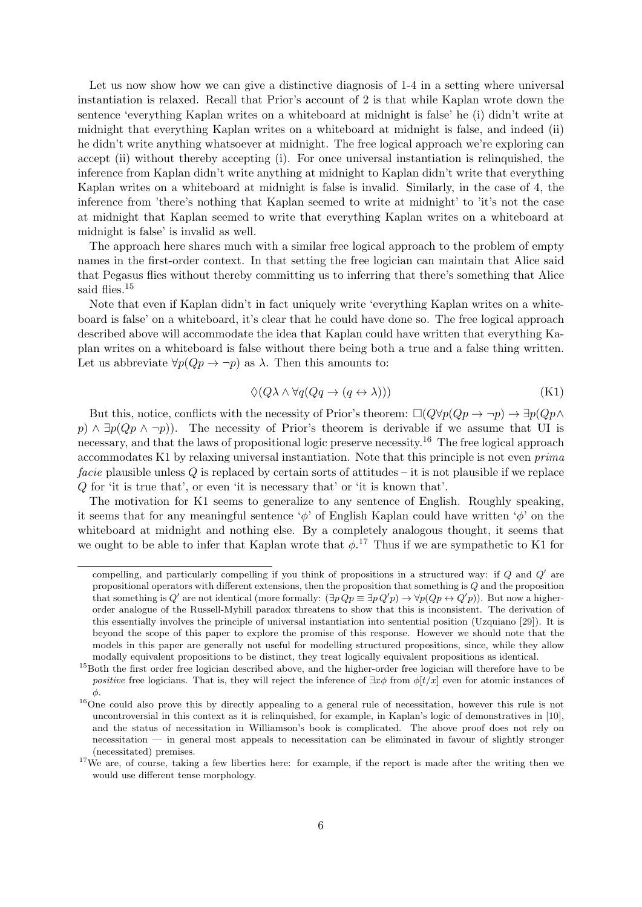Let us now show how we can give a distinctive diagnosis of  $1-4$  in a setting where universal instantiation is relaxed. Recall that Prior's account of 2 is that while Kaplan wrote down the sentence 'everything Kaplan writes on a whiteboard at midnight is false' he (i) didn't write at midnight that everything Kaplan writes on a whiteboard at midnight is false, and indeed (ii) he didn't write anything whatsoever at midnight. The free logical approach we're exploring can accept (ii) without thereby accepting (i). For once universal instantiation is relinquished, the inference from Kaplan didn't write anything at midnight to Kaplan didn't write that everything Kaplan writes on a whiteboard at midnight is false is invalid. Similarly, in the case of 4, the inference from 'there's nothing that Kaplan seemed to write at midnight' to 'it's not the case at midnight that Kaplan seemed to write that everything Kaplan writes on a whiteboard at midnight is false' is invalid as well.

The approach here shares much with a similar free logical approach to the problem of empty names in the first-order context. In that setting the free logician can maintain that Alice said that Pegasus flies without thereby committing us to inferring that there's something that Alice said flies.<sup>15</sup>

Note that even if Kaplan didn't in fact uniquely write 'everything Kaplan writes on a whiteboard is false' on a whiteboard, it's clear that he could have done so. The free logical approach described above will accommodate the idea that Kaplan could have written that everything Kaplan writes on a whiteboard is false without there being both a true and a false thing written. Let us abbreviate  $\forall p(Qp \rightarrow \neg p)$  as  $\lambda$ . Then this amounts to:

$$
\Diamond(Q\lambda \wedge \forall q(Qq \to (q \leftrightarrow \lambda)))\tag{K1}
$$

But this, notice, conflicts with the necessity of Prior's theorem:  $\Box(Q\forall p(Qp \rightarrow \neg p) \rightarrow \exists p(Qp \land p)$ p)  $\land \exists p(Qp \land \neg p)$ . The necessity of Prior's theorem is derivable if we assume that UI is necessary, and that the laws of propositional logic preserve necessity.<sup>16</sup> The free logical approach accommodates K1 by relaxing universal instantiation. Note that this principle is not even prima *facie* plausible unless  $Q$  is replaced by certain sorts of attitudes – it is not plausible if we replace Q for 'it is true that', or even 'it is necessary that' or 'it is known that'.

The motivation for K1 seems to generalize to any sentence of English. Roughly speaking, it seems that for any meaningful sentence ' $\phi$ ' of English Kaplan could have written ' $\phi$ ' on the whiteboard at midnight and nothing else. By a completely analogous thought, it seems that we ought to be able to infer that Kaplan wrote that  $\phi$ .<sup>17</sup> Thus if we are sympathetic to K1 for

compelling, and particularly compelling if you think of propositions in a structured way: if  $Q$  and  $Q'$  are propositional operators with different extensions, then the proposition that something is Q and the proposition that something is Q' are not identical (more formally:  $(\exists p \ Qp \equiv \exists p \ Q'p) \rightarrow \forall p(Qp \leftrightarrow Q'p)$ ). But now a higherorder analogue of the Russell-Myhill paradox threatens to show that this is inconsistent. The derivation of this essentially involves the principle of universal instantiation into sentential position (Uzquiano [29]). It is beyond the scope of this paper to explore the promise of this response. However we should note that the models in this paper are generally not useful for modelling structured propositions, since, while they allow modally equivalent propositions to be distinct, they treat logically equivalent propositions as identical.

<sup>&</sup>lt;sup>15</sup>Both the first order free logician described above, and the higher-order free logician will therefore have to be positive free logicians. That is, they will reject the inference of  $\exists x \phi$  from  $\phi[t/x]$  even for atomic instances of  $\phi$ .

<sup>&</sup>lt;sup>16</sup>One could also prove this by directly appealing to a general rule of necessitation, however this rule is not uncontroversial in this context as it is relinquished, for example, in Kaplan's logic of demonstratives in [10], and the status of necessitation in Williamson's book is complicated. The above proof does not rely on necessitation — in general most appeals to necessitation can be eliminated in favour of slightly stronger (necessitated) premises.

<sup>&</sup>lt;sup>17</sup>We are, of course, taking a few liberties here: for example, if the report is made after the writing then we would use different tense morphology.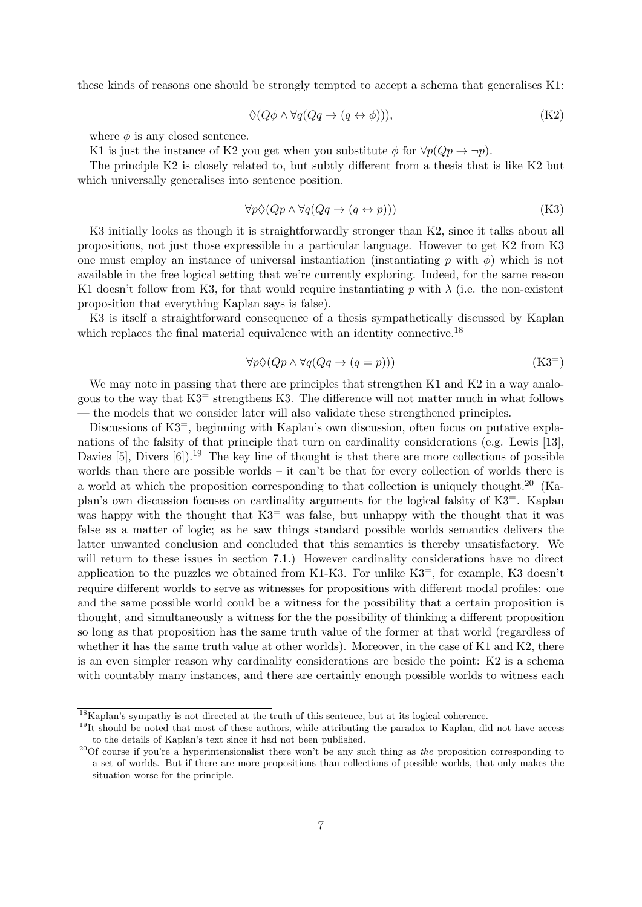these kinds of reasons one should be strongly tempted to accept a schema that generalises K1:

$$
\Diamond (Q\phi \land \forall q (Qq \to (q \leftrightarrow \phi))), \tag{K2}
$$

where  $\phi$  is any closed sentence.

K1 is just the instance of K2 you get when you substitute  $\phi$  for  $\forall p(Qp \rightarrow \neg p)$ .

The principle K2 is closely related to, but subtly different from a thesis that is like K2 but which universally generalises into sentence position.

$$
\forall p \Diamond (Qp \land \forall q (Qq \to (q \leftrightarrow p))) \tag{K3}
$$

K3 initially looks as though it is straightforwardly stronger than K2, since it talks about all propositions, not just those expressible in a particular language. However to get K2 from K3 one must employ an instance of universal instantiation (instantiating p with  $\phi$ ) which is not available in the free logical setting that we're currently exploring. Indeed, for the same reason K1 doesn't follow from K3, for that would require instantiating p with  $\lambda$  (i.e. the non-existent proposition that everything Kaplan says is false).

K3 is itself a straightforward consequence of a thesis sympathetically discussed by Kaplan which replaces the final material equivalence with an identity connective.<sup>18</sup>

$$
\forall p \Diamond (Qp \land \forall q (Qq \to (q = p)))\tag{K3}
$$

We may note in passing that there are principles that strengthen K1 and K2 in a way analogous to the way that  $K3$ <sup>=</sup> strengthens K3. The difference will not matter much in what follows — the models that we consider later will also validate these strengthened principles.

Discussions of K3<sup>=</sup>, beginning with Kaplan's own discussion, often focus on putative explanations of the falsity of that principle that turn on cardinality considerations (e.g. Lewis [13], Davies [5], Divers  $[6]$ .<sup>19</sup> The key line of thought is that there are more collections of possible worlds than there are possible worlds – it can't be that for every collection of worlds there is a world at which the proposition corresponding to that collection is uniquely thought.<sup>20</sup> (Kaplan's own discussion focuses on cardinality arguments for the logical falsity of K3=. Kaplan was happy with the thought that  $K3$ <sup>=</sup> was false, but unhappy with the thought that it was false as a matter of logic; as he saw things standard possible worlds semantics delivers the latter unwanted conclusion and concluded that this semantics is thereby unsatisfactory. We will return to these issues in section 7.1.) However cardinality considerations have no direct application to the puzzles we obtained from K1-K3. For unlike  $K3^=$ , for example, K3 doesn't require different worlds to serve as witnesses for propositions with different modal profiles: one and the same possible world could be a witness for the possibility that a certain proposition is thought, and simultaneously a witness for the the possibility of thinking a different proposition so long as that proposition has the same truth value of the former at that world (regardless of whether it has the same truth value at other worlds). Moreover, in the case of K1 and K2, there is an even simpler reason why cardinality considerations are beside the point: K2 is a schema with countably many instances, and there are certainly enough possible worlds to witness each

 $18$ Kaplan's sympathy is not directed at the truth of this sentence, but at its logical coherence.

<sup>&</sup>lt;sup>19</sup>It should be noted that most of these authors, while attributing the paradox to Kaplan, did not have access to the details of Kaplan's text since it had not been published.

<sup>&</sup>lt;sup>20</sup>Of course if you're a hyperintensionalist there won't be any such thing as the proposition corresponding to a set of worlds. But if there are more propositions than collections of possible worlds, that only makes the situation worse for the principle.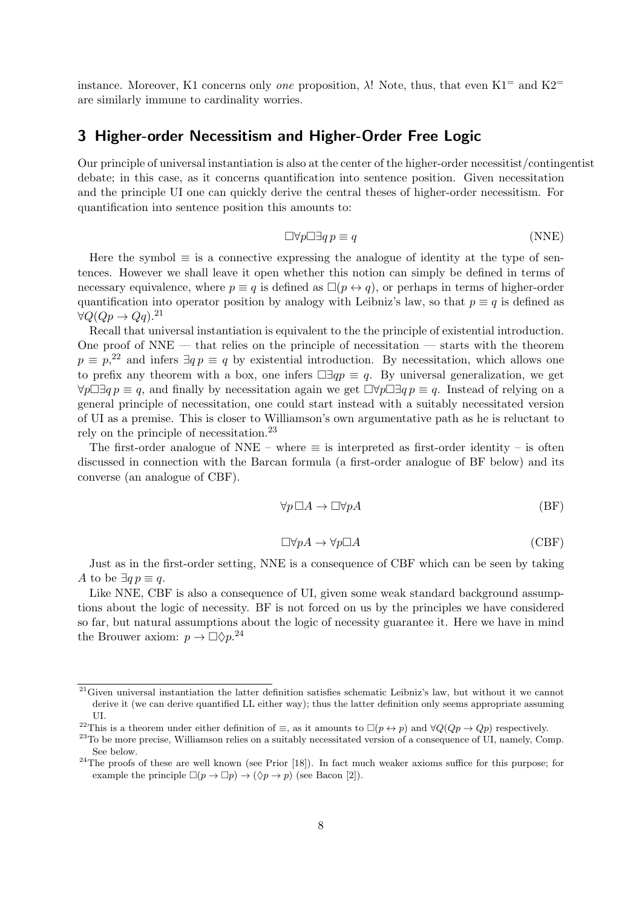instance. Moreover, K1 concerns only *one* proposition,  $\lambda$ ! Note, thus, that even K1<sup>=</sup> and K2<sup>=</sup> are similarly immune to cardinality worries.

### 3 Higher-order Necessitism and Higher-Order Free Logic

Our principle of universal instantiation is also at the center of the higher-order necessitist/contingentist debate; in this case, as it concerns quantification into sentence position. Given necessitation and the principle UI one can quickly derive the central theses of higher-order necessitism. For quantification into sentence position this amounts to:

$$
\Box \forall p \Box \exists q \ p \equiv q \tag{NNE}
$$

Here the symbol  $\equiv$  is a connective expressing the analogue of identity at the type of sentences. However we shall leave it open whether this notion can simply be defined in terms of necessary equivalence, where  $p \equiv q$  is defined as  $\Box(p \leftrightarrow q)$ , or perhaps in terms of higher-order quantification into operator position by analogy with Leibniz's law, so that  $p \equiv q$  is defined as  $\forall Q(Qp \rightarrow Qq).$ <sup>21</sup>

Recall that universal instantiation is equivalent to the the principle of existential introduction. One proof of  $NNE$  — that relies on the principle of necessitation — starts with the theorem  $p \equiv p^{22}$  and infers  $\exists q \, p \equiv q$  by existential introduction. By necessitation, which allows one to prefix any theorem with a box, one infers  $\Box \exists qp \equiv q$ . By universal generalization, we get  $\forall p \Box \exists q \, p \equiv q$ , and finally by necessitation again we get  $\Box \forall p \Box \exists q \, p \equiv q$ . Instead of relying on a general principle of necessitation, one could start instead with a suitably necessitated version of UI as a premise. This is closer to Williamson's own argumentative path as he is reluctant to rely on the principle of necessitation.<sup>23</sup>

The first-order analogue of NNE – where  $\equiv$  is interpreted as first-order identity – is often discussed in connection with the Barcan formula (a first-order analogue of BF below) and its converse (an analogue of CBF).

$$
\forall p \,\Box A \to \Box \forall p A \tag{BF}
$$

$$
\Box \forall p A \to \forall p \Box A \tag{CBF}
$$

Just as in the first-order setting, NNE is a consequence of CBF which can be seen by taking A to be  $\exists q p \equiv q$ .

Like NNE, CBF is also a consequence of UI, given some weak standard background assumptions about the logic of necessity. BF is not forced on us by the principles we have considered so far, but natural assumptions about the logic of necessity guarantee it. Here we have in mind the Brouwer axiom:  $p \to \Box \Diamond p$ <sup>24</sup>

 $21$ Given universal instantiation the latter definition satisfies schematic Leibniz's law, but without it we cannot derive it (we can derive quantified LL either way); thus the latter definition only seems appropriate assuming UI.

<sup>&</sup>lt;sup>22</sup>This is a theorem under either definition of  $\equiv$ , as it amounts to  $\Box(p \leftrightarrow p)$  and  $\forall Q(Qp \rightarrow Qp)$  respectively.

 $^{23}$ To be more precise, Williamson relies on a suitably necessitated version of a consequence of UI, namely, Comp. See below.

<sup>&</sup>lt;sup>24</sup>The proofs of these are well known (see Prior [18]). In fact much weaker axioms suffice for this purpose; for example the principle  $\Box(p \to \Box p) \to (\Diamond p \to p)$  (see Bacon [2]).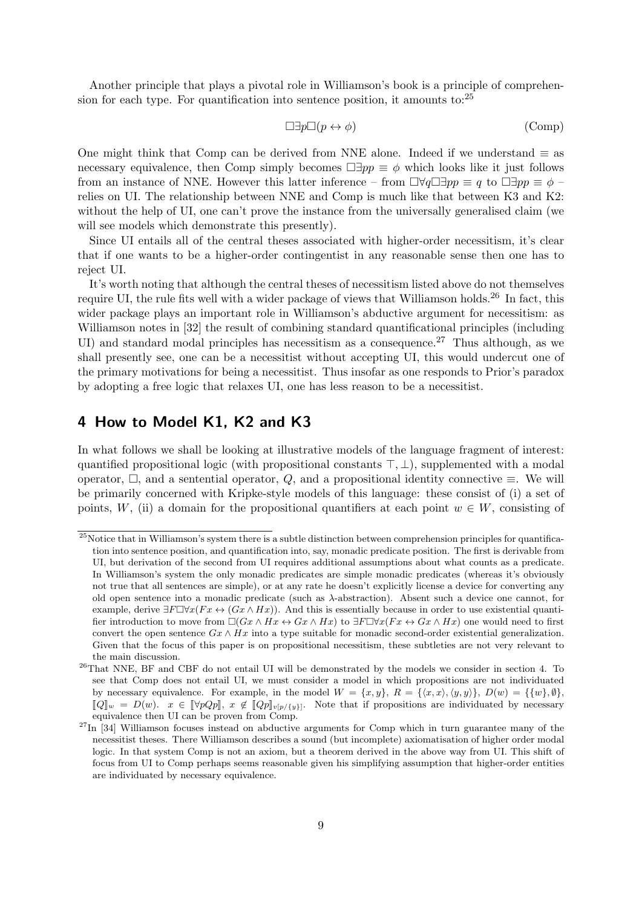Another principle that plays a pivotal role in Williamson's book is a principle of comprehension for each type. For quantification into sentence position, it amounts to:<sup>25</sup>

$$
\Box \exists p \Box (p \leftrightarrow \phi) \tag{Comp}
$$

One might think that Comp can be derived from NNE alone. Indeed if we understand  $\equiv$  as necessary equivalence, then Comp simply becomes  $\Box \exists pp \equiv \phi$  which looks like it just follows from an instance of NNE. However this latter inference – from  $\Box \forall q \Box \exists pp \equiv q$  to  $\Box \exists pp \equiv \phi$  – relies on UI. The relationship between NNE and Comp is much like that between K3 and K2: without the help of UI, one can't prove the instance from the universally generalised claim (we will see models which demonstrate this presently).

Since UI entails all of the central theses associated with higher-order necessitism, it's clear that if one wants to be a higher-order contingentist in any reasonable sense then one has to reject UI.

It's worth noting that although the central theses of necessitism listed above do not themselves require UI, the rule fits well with a wider package of views that Williamson holds.<sup>26</sup> In fact, this wider package plays an important role in Williamson's abductive argument for necessitism: as Williamson notes in [32] the result of combining standard quantificational principles (including UI) and standard modal principles has necessitism as a consequence.<sup>27</sup> Thus although, as we shall presently see, one can be a necessitist without accepting UI, this would undercut one of the primary motivations for being a necessitist. Thus insofar as one responds to Prior's paradox by adopting a free logic that relaxes UI, one has less reason to be a necessitist.

### 4 How to Model K1, K2 and K3

In what follows we shall be looking at illustrative models of the language fragment of interest: quantified propositional logic (with propositional constants  $\top, \bot$ ), supplemented with a modal operator,  $\Box$ , and a sentential operator, Q, and a propositional identity connective  $\equiv$ . We will be primarily concerned with Kripke-style models of this language: these consist of (i) a set of points, W, (ii) a domain for the propositional quantifiers at each point  $w \in W$ , consisting of

 $25$ Notice that in Williamson's system there is a subtle distinction between comprehension principles for quantification into sentence position, and quantification into, say, monadic predicate position. The first is derivable from UI, but derivation of the second from UI requires additional assumptions about what counts as a predicate. In Williamson's system the only monadic predicates are simple monadic predicates (whereas it's obviously not true that all sentences are simple), or at any rate he doesn't explicitly license a device for converting any old open sentence into a monadic predicate (such as  $\lambda$ -abstraction). Absent such a device one cannot, for example, derive  $\exists F \Box \forall x (Fx \leftrightarrow (Gx \land Hx))$ . And this is essentially because in order to use existential quantifier introduction to move from  $\Box(Gx \land Hx \leftrightarrow Gx \land Hx)$  to  $\exists F \Box \forall x (Fx \leftrightarrow Gx \land Hx)$  one would need to first convert the open sentence  $Gx \wedge Hx$  into a type suitable for monadic second-order existential generalization. Given that the focus of this paper is on propositional necessitism, these subtleties are not very relevant to the main discussion.

<sup>26</sup>That NNE, BF and CBF do not entail UI will be demonstrated by the models we consider in section 4. To see that Comp does not entail UI, we must consider a model in which propositions are not individuated by necessary equivalence. For example, in the model  $W = \{x, y\}$ ,  $R = \{\langle x, x\rangle, \langle y, y\rangle\}$ ,  $D(w) = \{\{w\}, \emptyset\}$ ,  $\llbracket Q \rrbracket_w = D(w).$   $x \in \llbracket \forall pQp \rrbracket, x \notin \llbracket Qp \rrbracket_{v[p/\{y\}]}$ . Note that if propositions are individuated by necessary equivalence then UI can be proven from Comp.

 $27$ In [34] Williamson focuses instead on abductive arguments for Comp which in turn guarantee many of the necessitist theses. There Williamson describes a sound (but incomplete) axiomatisation of higher order modal logic. In that system Comp is not an axiom, but a theorem derived in the above way from UI. This shift of focus from UI to Comp perhaps seems reasonable given his simplifying assumption that higher-order entities are individuated by necessary equivalence.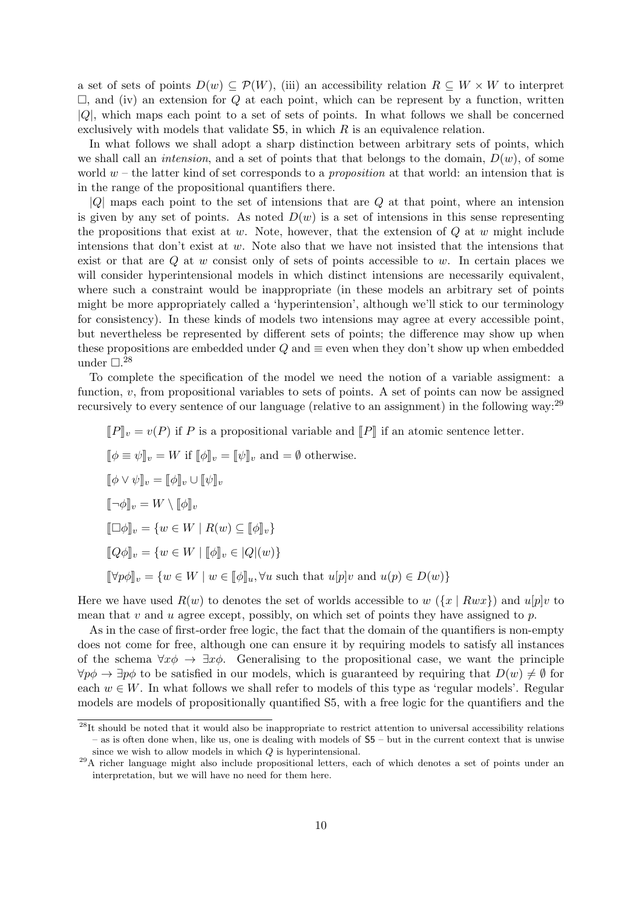a set of sets of points  $D(w) \subseteq \mathcal{P}(W)$ , (iii) an accessibility relation  $R \subseteq W \times W$  to interpret  $\Box$ , and (iv) an extension for Q at each point, which can be represent by a function, written  $|Q|$ , which maps each point to a set of sets of points. In what follows we shall be concerned exclusively with models that validate  $\mathsf{S5}$ , in which R is an equivalence relation.

In what follows we shall adopt a sharp distinction between arbitrary sets of points, which we shall call an *intension*, and a set of points that that belongs to the domain,  $D(w)$ , of some world  $w$  – the latter kind of set corresponds to a *proposition* at that world: an intension that is in the range of the propositional quantifiers there.

 $|Q|$  maps each point to the set of intensions that are Q at that point, where an intension is given by any set of points. As noted  $D(w)$  is a set of intensions in this sense representing the propositions that exist at w. Note, however, that the extension of  $Q$  at w might include intensions that don't exist at  $w$ . Note also that we have not insisted that the intensions that exist or that are  $Q$  at  $w$  consist only of sets of points accessible to  $w$ . In certain places we will consider hyperintensional models in which distinct intensions are necessarily equivalent, where such a constraint would be inappropriate (in these models an arbitrary set of points might be more appropriately called a 'hyperintension', although we'll stick to our terminology for consistency). In these kinds of models two intensions may agree at every accessible point, but nevertheless be represented by different sets of points; the difference may show up when these propositions are embedded under  $Q$  and  $\equiv$  even when they don't show up when embedded under  $\Box$ <sup>28</sup>

To complete the specification of the model we need the notion of a variable assigment: a function, v, from propositional variables to sets of points. A set of points can now be assigned recursively to every sentence of our language (relative to an assignment) in the following way:<sup>29</sup>

$$
[\![P]\!]_v = v(P) \text{ if } P \text{ is a propositional variable and } [\![P]\!] \text{ if an atomic sentence letter.}
$$

$$
[\![\phi \equiv \psi]\!]_v = W \text{ if } [\![\phi]\!]_v = [\![\psi]\!]_v \text{ and } = \emptyset \text{ otherwise.}
$$

$$
[\![\phi \vee \psi]\!]_v = [\![\phi]\!]_v \cup [\![\psi]\!]_v
$$

$$
[\![\neg \phi]\!]_v = W \setminus [\![\phi]\!]_v
$$

$$
[\![\Box \phi]\!]_v = \{w \in W \mid R(w) \subseteq [\![\phi]\!]_v\}
$$

$$
[\![Q\phi]\!]_v = \{w \in W \mid [\![\phi]\!]_v \in [Q](w)\}
$$

$$
[\![\forall p\phi]\!]_v = \{w \in W \mid w \in [\![\phi]\!]_u, \forall u \text{ such that } u[p]v \text{ and } u(p) \in D(w)\}
$$

Here we have used  $R(w)$  to denotes the set of worlds accessible to w  $(\{x \mid Rwx\})$  and  $u[p]v$  to mean that v and u agree except, possibly, on which set of points they have assigned to p.

As in the case of first-order free logic, the fact that the domain of the quantifiers is non-empty does not come for free, although one can ensure it by requiring models to satisfy all instances of the schema  $\forall x \phi \rightarrow \exists x \phi$ . Generalising to the propositional case, we want the principle  $\forall p\phi \rightarrow \exists p\phi$  to be satisfied in our models, which is guaranteed by requiring that  $D(w) \neq \emptyset$  for each  $w \in W$ . In what follows we shall refer to models of this type as 'regular models'. Regular models are models of propositionally quantified S5, with a free logic for the quantifiers and the

<sup>&</sup>lt;sup>28</sup>It should be noted that it would also be inappropriate to restrict attention to universal accessibility relations – as is often done when, like us, one is dealing with models of S5 – but in the current context that is unwise since we wish to allow models in which Q is hyperintensional.

<sup>29</sup>A richer language might also include propositional letters, each of which denotes a set of points under an interpretation, but we will have no need for them here.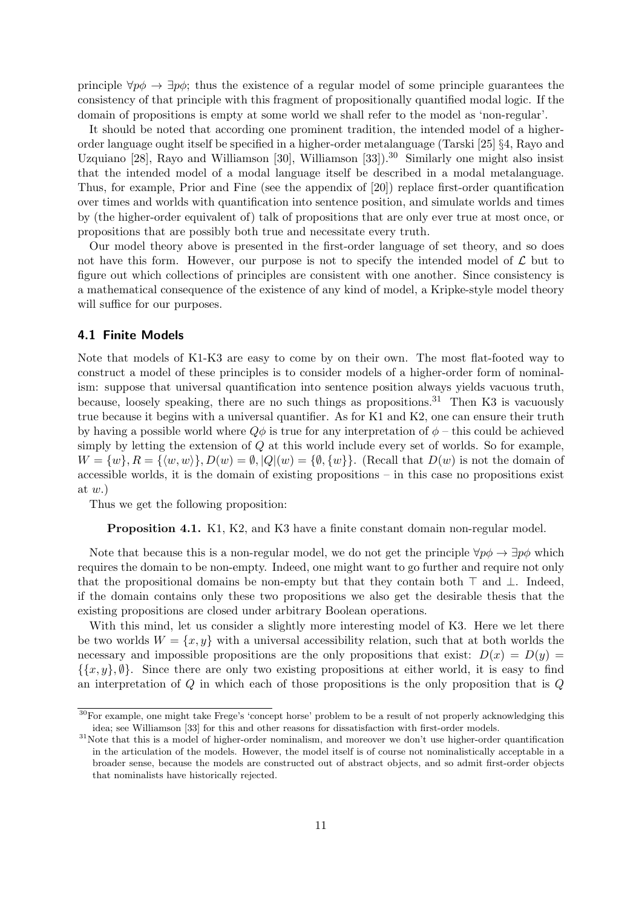principle  $\forall p \phi \rightarrow \exists p \phi$ ; thus the existence of a regular model of some principle guarantees the consistency of that principle with this fragment of propositionally quantified modal logic. If the domain of propositions is empty at some world we shall refer to the model as 'non-regular'.

It should be noted that according one prominent tradition, the intended model of a higherorder language ought itself be specified in a higher-order metalanguage (Tarski [25] §4, Rayo and Uzquiano [28], Rayo and Williamson [30], Williamson [33]).<sup>30</sup> Similarly one might also insist that the intended model of a modal language itself be described in a modal metalanguage. Thus, for example, Prior and Fine (see the appendix of [20]) replace first-order quantification over times and worlds with quantification into sentence position, and simulate worlds and times by (the higher-order equivalent of) talk of propositions that are only ever true at most once, or propositions that are possibly both true and necessitate every truth.

Our model theory above is presented in the first-order language of set theory, and so does not have this form. However, our purpose is not to specify the intended model of  $\mathcal L$  but to figure out which collections of principles are consistent with one another. Since consistency is a mathematical consequence of the existence of any kind of model, a Kripke-style model theory will suffice for our purposes.

#### 4.1 Finite Models

Note that models of K1-K3 are easy to come by on their own. The most flat-footed way to construct a model of these principles is to consider models of a higher-order form of nominalism: suppose that universal quantification into sentence position always yields vacuous truth, because, loosely speaking, there are no such things as propositions.<sup>31</sup> Then K3 is vacuously true because it begins with a universal quantifier. As for K1 and K2, one can ensure their truth by having a possible world where  $Q\phi$  is true for any interpretation of  $\phi$  – this could be achieved simply by letting the extension of Q at this world include every set of worlds. So for example,  $W = \{w\}, R = \{\langle w, w \rangle\}, D(w) = \emptyset, |Q|(w) = \{\emptyset, \{w\}\}.$  (Recall that  $D(w)$  is not the domain of accessible worlds, it is the domain of existing propositions – in this case no propositions exist at  $w.$ )

Thus we get the following proposition:

Proposition 4.1. K1, K2, and K3 have a finite constant domain non-regular model.

Note that because this is a non-regular model, we do not get the principle  $\forall p \phi \rightarrow \exists p \phi$  which requires the domain to be non-empty. Indeed, one might want to go further and require not only that the propositional domains be non-empty but that they contain both  $\top$  and  $\bot$ . Indeed, if the domain contains only these two propositions we also get the desirable thesis that the existing propositions are closed under arbitrary Boolean operations.

With this mind, let us consider a slightly more interesting model of K3. Here we let there be two worlds  $W = \{x, y\}$  with a universal accessibility relation, such that at both worlds the necessary and impossible propositions are the only propositions that exist:  $D(x) = D(y)$  $\{\{x, y\}, \emptyset\}$ . Since there are only two existing propositions at either world, it is easy to find an interpretation of  $Q$  in which each of those propositions is the only proposition that is  $Q$ 

<sup>&</sup>lt;sup>30</sup>For example, one might take Frege's 'concept horse' problem to be a result of not properly acknowledging this idea; see Williamson [33] for this and other reasons for dissatisfaction with first-order models.

<sup>&</sup>lt;sup>31</sup>Note that this is a model of higher-order nominalism, and moreover we don't use higher-order quantification in the articulation of the models. However, the model itself is of course not nominalistically acceptable in a broader sense, because the models are constructed out of abstract objects, and so admit first-order objects that nominalists have historically rejected.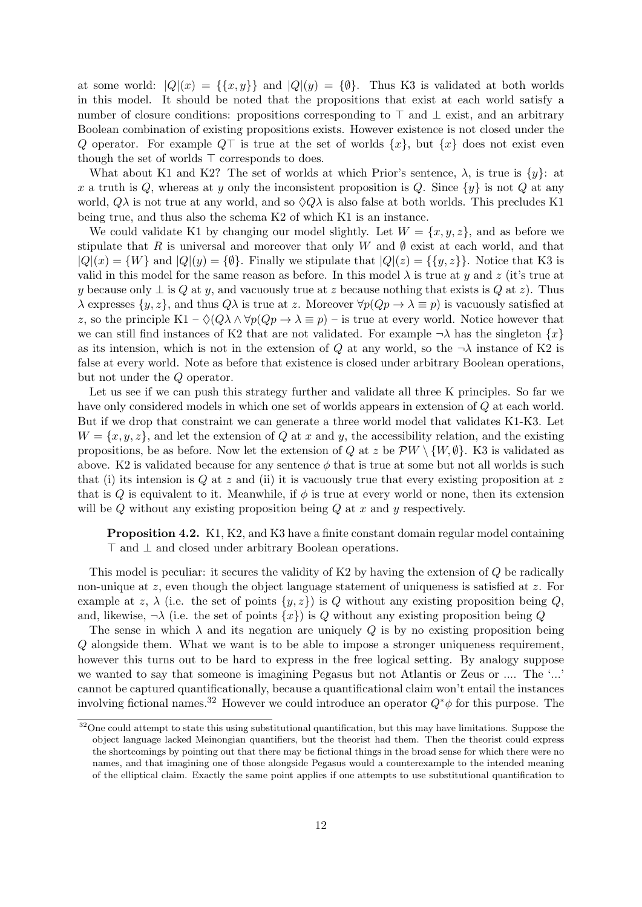at some world:  $|Q|(x) = {\{x,y\}}$  and  $|Q|(y) = {\emptyset}.$  Thus K3 is validated at both worlds in this model. It should be noted that the propositions that exist at each world satisfy a number of closure conditions: propositions corresponding to  $\top$  and  $\bot$  exist, and an arbitrary Boolean combination of existing propositions exists. However existence is not closed under the Q operator. For example  $Q\top$  is true at the set of worlds  $\{x\}$ , but  $\{x\}$  does not exist even though the set of worlds  $\top$  corresponds to does.

What about K1 and K2? The set of worlds at which Prior's sentence,  $\lambda$ , is true is  $\{y\}$ : at x a truth is Q, whereas at y only the inconsistent proposition is Q. Since  $\{y\}$  is not Q at any world,  $Q\lambda$  is not true at any world, and so  $\Diamond Q\lambda$  is also false at both worlds. This precludes K1 being true, and thus also the schema K2 of which K1 is an instance.

We could validate K1 by changing our model slightly. Let  $W = \{x, y, z\}$ , and as before we stipulate that R is universal and moreover that only W and  $\emptyset$  exist at each world, and that  $|Q|(x) = \{W\}$  and  $|Q|(y) = \{\emptyset\}$ . Finally we stipulate that  $|Q|(z) = \{\{y, z\}\}\$ . Notice that K3 is valid in this model for the same reason as before. In this model  $\lambda$  is true at y and z (it's true at y because only  $\perp$  is Q at y, and vacuously true at z because nothing that exists is Q at z). Thus  $\lambda$  expresses  $\{y, z\}$ , and thus  $Q\lambda$  is true at z. Moreover  $\forall p(Qp \rightarrow \lambda \equiv p)$  is vacuously satisfied at z, so the principle K1 –  $\Diamond(Q\lambda \land \forall p(Qp \to \lambda \equiv p)$  – is true at every world. Notice however that we can still find instances of K2 that are not validated. For example  $\neg \lambda$  has the singleton  $\{x\}$ as its intension, which is not in the extension of Q at any world, so the  $\neg \lambda$  instance of K2 is false at every world. Note as before that existence is closed under arbitrary Boolean operations, but not under the Q operator.

Let us see if we can push this strategy further and validate all three K principles. So far we have only considered models in which one set of worlds appears in extension of Q at each world. But if we drop that constraint we can generate a three world model that validates K1-K3. Let  $W = \{x, y, z\}$ , and let the extension of Q at x and y, the accessibility relation, and the existing propositions, be as before. Now let the extension of Q at z be  $\mathcal{P}W \setminus \{W, \emptyset\}$ . K3 is validated as above. K2 is validated because for any sentence  $\phi$  that is true at some but not all worlds is such that (i) its intension is Q at z and (ii) it is vacuously true that every existing proposition at z that is Q is equivalent to it. Meanwhile, if  $\phi$  is true at every world or none, then its extension will be  $Q$  without any existing proposition being  $Q$  at  $x$  and  $y$  respectively.

Proposition 4.2. K1, K2, and K3 have a finite constant domain regular model containing > and ⊥ and closed under arbitrary Boolean operations.

This model is peculiar: it secures the validity of K2 by having the extension of Q be radically non-unique at  $z$ , even though the object language statement of uniqueness is satisfied at  $z$ . For example at z,  $\lambda$  (i.e. the set of points  $\{y, z\}$ ) is Q without any existing proposition being Q, and, likewise,  $\neg \lambda$  (i.e. the set of points  $\{x\}$ ) is Q without any existing proposition being Q

The sense in which  $\lambda$  and its negation are uniquely Q is by no existing proposition being Q alongside them. What we want is to be able to impose a stronger uniqueness requirement, however this turns out to be hard to express in the free logical setting. By analogy suppose we wanted to say that someone is imagining Pegasus but not Atlantis or Zeus or .... The '...' cannot be captured quantificationally, because a quantificational claim won't entail the instances involving fictional names.<sup>32</sup> However we could introduce an operator  $Q^*\phi$  for this purpose. The

<sup>&</sup>lt;sup>32</sup>One could attempt to state this using substitutional quantification, but this may have limitations. Suppose the object language lacked Meinongian quantifiers, but the theorist had them. Then the theorist could express the shortcomings by pointing out that there may be fictional things in the broad sense for which there were no names, and that imagining one of those alongside Pegasus would a counterexample to the intended meaning of the elliptical claim. Exactly the same point applies if one attempts to use substitutional quantification to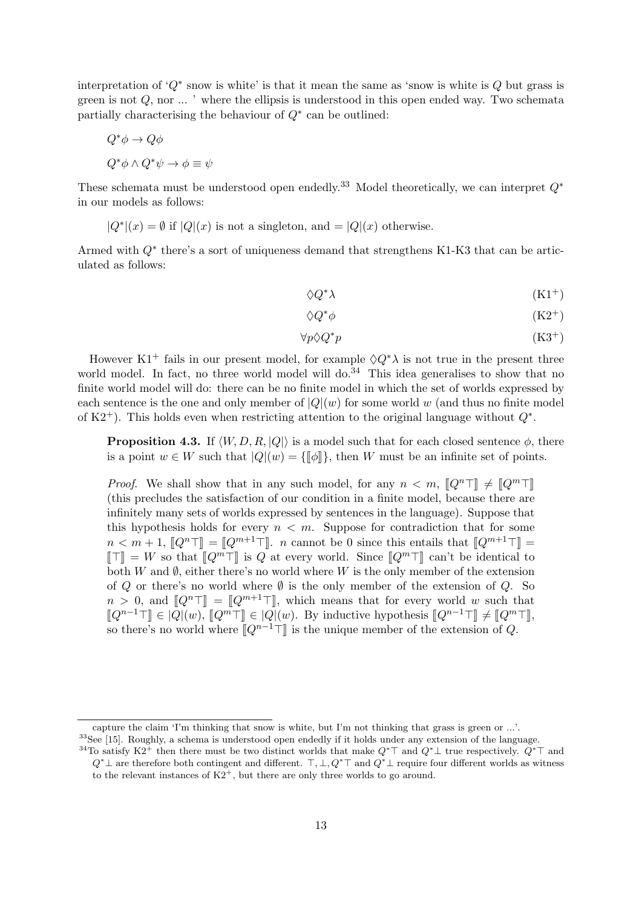interpretation of  $'Q^*$  snow is white' is that it mean the same as 'snow is white is  $Q$  but grass is green is not  $Q$ , nor  $\ldots$  ' where the ellipsis is understood in this open ended way. Two schemata partially characterising the behaviour of  $Q^*$  can be outlined:

$$
Q^*\phi \to Q\phi
$$
  

$$
Q^*\phi \wedge Q^*\psi \to \phi \equiv \psi
$$

These schemata must be understood open endedly.<sup>33</sup> Model theoretically, we can interpret  $Q^*$ in our models as follows:

$$
|Q^*|(x) = \emptyset
$$
 if  $|Q|(x)$  is not a singleton, and  $=|Q|(x)$  otherwise.

Armed with  $Q^*$  there's a sort of uniqueness demand that strengthens K1-K3 that can be articulated as follows:

$$
\Diamond Q^* \lambda \tag{K1}^+
$$

$$
\Diamond Q^*\phi\tag{K2}^+
$$

$$
\forall p \Diamond Q^* p \tag{K3^+}
$$

However K1<sup>+</sup> fails in our present model, for example  $\Diamond Q^* \lambda$  is not true in the present three world model. In fact, no three world model will do.<sup>34</sup> This idea generalises to show that no finite world model will do: there can be no finite model in which the set of worlds expressed by each sentence is the one and only member of  $|Q|(w)$  for some world w (and thus no finite model of K2<sup>+</sup>). This holds even when restricting attention to the original language without  $Q^*$ .

**Proposition 4.3.** If  $\langle W, D, R, |Q|\rangle$  is a model such that for each closed sentence  $\phi$ , there is a point  $w \in W$  such that  $|Q|(w) = {\|\phi\|}$ , then W must be an infinite set of points.

*Proof.* We shall show that in any such model, for any  $n < m$ ,  $[Q^n] \neq [Q^m]$ (this precludes the satisfaction of our condition in a finite model, because there are infinitely many sets of worlds expressed by sentences in the language). Suppose that this hypothesis holds for every  $n < m$ . Suppose for contradiction that for some  $n < m+1$ ,  $[Q^n] = [Q^{m+1}]$ . n cannot be 0 since this entails that  $[Q^{m+1}] =$  $\llbracket \top \rrbracket = W$  so that  $\llbracket Q^m \top \rrbracket$  is Q at every world. Since  $\llbracket Q^m \top \rrbracket$  can't be identical to both W and  $\emptyset$ , either there's no world where W is the only member of the extension of Q or there's no world where  $\emptyset$  is the only member of the extension of Q. So  $n > 0$ , and  $[Q^n] = [Q^{m+1}]$ , which means that for every world w such that  $\llbracket Q^{n-1}\top\rrbracket \in |Q|(w)$ ,  $\llbracket Q^m\top\rrbracket \in |Q|(w)$ . By inductive hypothesis  $\llbracket Q^{n-1}\top\rrbracket \neq \llbracket Q^m\top\rrbracket$ , so there's no world where  $[[Q^{n-1}\top]]$  is the unique member of the extension of Q.

capture the claim 'I'm thinking that snow is white, but I'm not thinking that grass is green or ...'.

<sup>&</sup>lt;sup>33</sup>See [15]. Roughly, a schema is understood open endedly if it holds under any extension of the language.

<sup>&</sup>lt;sup>34</sup>To satisfy K2<sup>+</sup> then there must be two distinct worlds that make  $Q^*$  and  $Q^*$  true respectively.  $Q^*$  and  $Q^*$  ± are therefore both contingent and different.  $\top$ ,  $\bot$ ,  $Q^*\top$  and  $Q^*\bot$  require four different worlds as witness to the relevant instances of  $K2^+$ , but there are only three worlds to go around.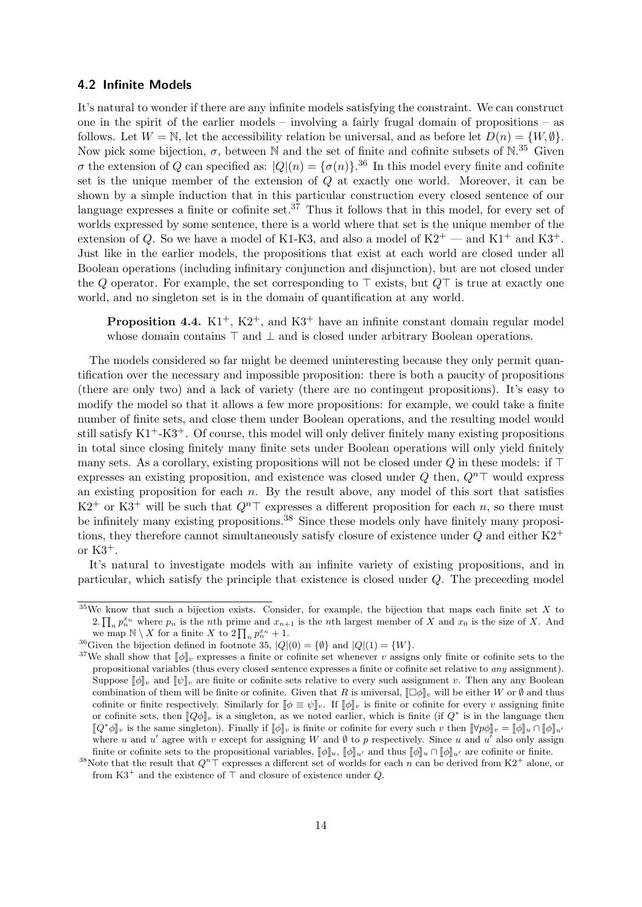#### 4.2 Infinite Models

It's natural to wonder if there are any infinite models satisfying the constraint. We can construct one in the spirit of the earlier models – involving a fairly frugal domain of propositions – as follows. Let  $W = \mathbb{N}$ , let the accessibility relation be universal, and as before let  $D(n) = \{W, \emptyset\}$ . Now pick some bijection,  $\sigma$ , between N and the set of finite and cofinite subsets of N.<sup>35</sup> Given  $\sigma$  the extension of Q can specified as:  $|Q|(n) = {\sigma(n)}$ .<sup>36</sup> In this model every finite and cofinite set is the unique member of the extension of Q at exactly one world. Moreover, it can be shown by a simple induction that in this particular construction every closed sentence of our language expresses a finite or cofinite set.<sup>37</sup> Thus it follows that in this model, for every set of worlds expressed by some sentence, there is a world where that set is the unique member of the extension of Q. So we have a model of K1-K3, and also a model of  $K2^+$  — and  $K1^+$  and  $K3^+$ . Just like in the earlier models, the propositions that exist at each world are closed under all Boolean operations (including infinitary conjunction and disjunction), but are not closed under the Q operator. For example, the set corresponding to  $\top$  exists, but  $Q\top$  is true at exactly one world, and no singleton set is in the domain of quantification at any world.

**Proposition 4.4.**  $K1^+$ ,  $K2^+$ , and  $K3^+$  have an infinite constant domain regular model whose domain contains  $\top$  and  $\bot$  and is closed under arbitrary Boolean operations.

The models considered so far might be deemed uninteresting because they only permit quantification over the necessary and impossible proposition: there is both a paucity of propositions (there are only two) and a lack of variety (there are no contingent propositions). It's easy to modify the model so that it allows a few more propositions: for example, we could take a finite number of finite sets, and close them under Boolean operations, and the resulting model would still satisfy  $K1^+K3^+$ . Of course, this model will only deliver finitely many existing propositions in total since closing finitely many finite sets under Boolean operations will only yield finitely many sets. As a corollary, existing propositions will not be closed under  $Q$  in these models: if  $\top$ expresses an existing proposition, and existence was closed under  $Q$  then,  $Q^n$ <sup>T</sup> would express an existing proposition for each  $n$ . By the result above, any model of this sort that satisfies  $K2^+$  or  $K3^+$  will be such that  $Q^n\top$  expresses a different proposition for each n, so there must be infinitely many existing propositions.<sup>38</sup> Since these models only have finitely many propositions, they therefore cannot simultaneously satisfy closure of existence under  $Q$  and either  $K2^+$ or  $K3^+$ .

It's natural to investigate models with an infinite variety of existing propositions, and in particular, which satisfy the principle that existence is closed under Q. The preceeding model

 $35\text{We know that such a bijection exists. Consider, for example, the bijection that maps each finite set } X \text{ to } X$ 2.  $\prod_n p_n^{x_n}$  where  $p_n$  is the nth prime and  $x_{n+1}$  is the nth largest member of X and  $x_0$  is the size of X. And we map  $\mathbb{N} \setminus X$  for a finite X to  $2 \prod_n p_n^{x_n} + 1$ .

<sup>&</sup>lt;sup>36</sup>Given the bijection defined in footnote 35,  $|Q|(0) = \{ \emptyset \}$  and  $|Q|(1) = \{ W \}.$ 

<sup>&</sup>lt;sup>37</sup>We shall show that  $\|\phi\|_v$  expresses a finite or cofinite set whenever v assigns only finite or cofinite sets to the propositional variables (thus every closed sentence expresses a finite or cofinite set relative to any assignment). Suppose  $\llbracket \phi \rrbracket_v$  and  $\llbracket \psi \rrbracket_v$  are finite or cofinite sets relative to every such assignment v. Then any any Boolean combination of them will be finite or cofinite. Given that R is universal,  $[\Box \phi]_v$  will be either W or  $\emptyset$  and thus cofinite or finite respectively. Similarly for  $\llbracket \phi \rrbracket_{v}$ . If  $\llbracket \phi \rrbracket_{v}$  is finite or cofinite for every v assigning finite or cofinite sets, then  $[\![Q\phi]\!]_v$  is a singleton, as we noted earlier, which is finite (if  $Q^*$  is in the language then  $[\![\phi^*A]\!]$  is the same singleton). Finally if  $[\![A]\!]$  is finite or earlier, which is then  $[\![\forall nA]\$  $[\![Q^*\phi]\!]_v$  is the same singleton). Finally if  $[\![\phi]\!]_v$  is finite or cofinite for every such v then  $[\![\forall p\phi]\!]_v = [\![\phi]\!]_u \cap [\![\phi]\!]_u$ . where u and u' agree with v except for assigning W and  $\emptyset$  to p respectively. Since u and u' also only assign finite or cofinite sets to the propositional variables,  $\llbracket \phi \rrbracket_u$ ,  $\llbracket \phi \rrbracket_u$  and thus  $\llbracket \phi \rrbracket_u \cap \llbracket \phi \rrbracket_u$  are cofinite or finite.

<sup>&</sup>lt;sup>38</sup>Note that the result that  $Q^n \top$  expresses a different set of worlds for each n can be derived from K2<sup>+</sup> alone, or from  $K3^+$  and the existence of  $\top$  and closure of existence under Q.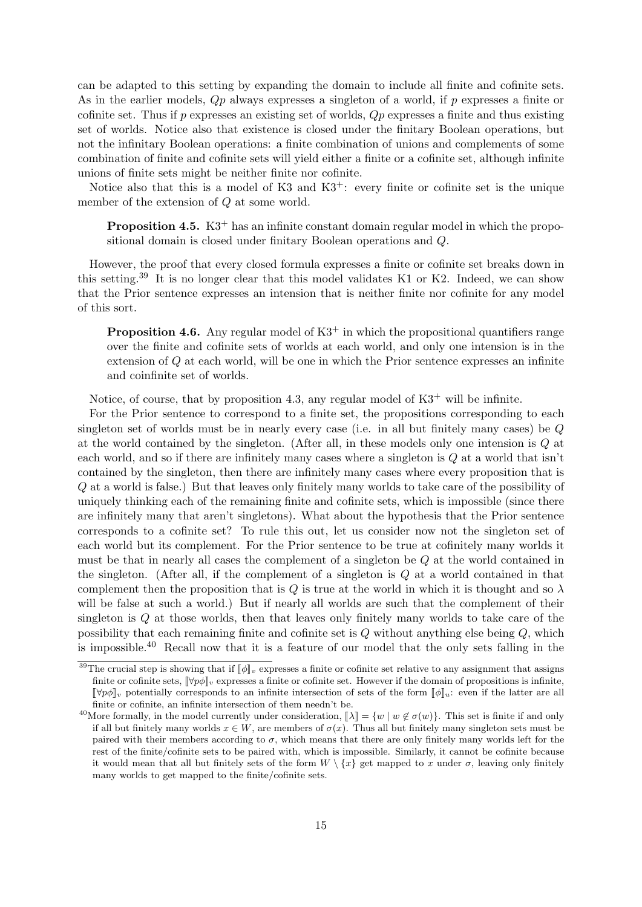can be adapted to this setting by expanding the domain to include all finite and cofinite sets. As in the earlier models,  $Qp$  always expresses a singleton of a world, if p expresses a finite or cofinite set. Thus if  $p$  expresses an existing set of worlds,  $Qp$  expresses a finite and thus existing set of worlds. Notice also that existence is closed under the finitary Boolean operations, but not the infinitary Boolean operations: a finite combination of unions and complements of some combination of finite and cofinite sets will yield either a finite or a cofinite set, although infinite unions of finite sets might be neither finite nor cofinite.

Notice also that this is a model of K3 and  $K3^+$ : every finite or cofinite set is the unique member of the extension of Q at some world.

**Proposition 4.5.** K $3^+$  has an infinite constant domain regular model in which the propositional domain is closed under finitary Boolean operations and Q.

However, the proof that every closed formula expresses a finite or cofinite set breaks down in this setting.<sup>39</sup> It is no longer clear that this model validates K1 or K2. Indeed, we can show that the Prior sentence expresses an intension that is neither finite nor cofinite for any model of this sort.

**Proposition 4.6.** Any regular model of  $K3^+$  in which the propositional quantifiers range over the finite and cofinite sets of worlds at each world, and only one intension is in the extension of Q at each world, will be one in which the Prior sentence expresses an infinite and coinfinite set of worlds.

Notice, of course, that by proposition 4.3, any regular model of  $K3^+$  will be infinite.

For the Prior sentence to correspond to a finite set, the propositions corresponding to each singleton set of worlds must be in nearly every case (i.e. in all but finitely many cases) be  $Q$ at the world contained by the singleton. (After all, in these models only one intension is Q at each world, and so if there are infinitely many cases where a singleton is Q at a world that isn't contained by the singleton, then there are infinitely many cases where every proposition that is Q at a world is false.) But that leaves only finitely many worlds to take care of the possibility of uniquely thinking each of the remaining finite and cofinite sets, which is impossible (since there are infinitely many that aren't singletons). What about the hypothesis that the Prior sentence corresponds to a cofinite set? To rule this out, let us consider now not the singleton set of each world but its complement. For the Prior sentence to be true at cofinitely many worlds it must be that in nearly all cases the complement of a singleton be Q at the world contained in the singleton. (After all, if the complement of a singleton is Q at a world contained in that complement then the proposition that is Q is true at the world in which it is thought and so  $\lambda$ will be false at such a world.) But if nearly all worlds are such that the complement of their singleton is Q at those worlds, then that leaves only finitely many worlds to take care of the possibility that each remaining finite and cofinite set is  $Q$  without anything else being  $Q$ , which is impossible.<sup>40</sup> Recall now that it is a feature of our model that the only sets falling in the

<sup>&</sup>lt;sup>39</sup>The crucial step is showing that if  $\llbracket \phi \rrbracket_v$  expresses a finite or cofinite set relative to any assignment that assigns finite or cofinite sets,  $\lbrack\!\lbrack\forall p\phi\rbrack\!\rbrack_v$  expresses a finite or cofinite set. However if the domain of propositions is infinite,  $\lbrack \lbrack \forall p\phi \rbrack \rbrack_v$  potentially corresponds to an infinite intersection of sets of the form  $\lbrack \lbrack \phi \rbrack \rbrack_u$ : even if the latter are all finite or cofinite, an infinite intersection of them needn't be.

<sup>&</sup>lt;sup>40</sup>More formally, in the model currently under consideration,  $\|\lambda\| = \{w \mid w \notin \sigma(w)\}\.$  This set is finite if and only if all but finitely many worlds  $x \in W$ , are members of  $\sigma(x)$ . Thus all but finitely many singleton sets must be paired with their members according to  $\sigma$ , which means that there are only finitely many worlds left for the rest of the finite/cofinite sets to be paired with, which is impossible. Similarly, it cannot be cofinite because it would mean that all but finitely sets of the form  $W \setminus \{x\}$  get mapped to x under  $\sigma$ , leaving only finitely many worlds to get mapped to the finite/cofinite sets.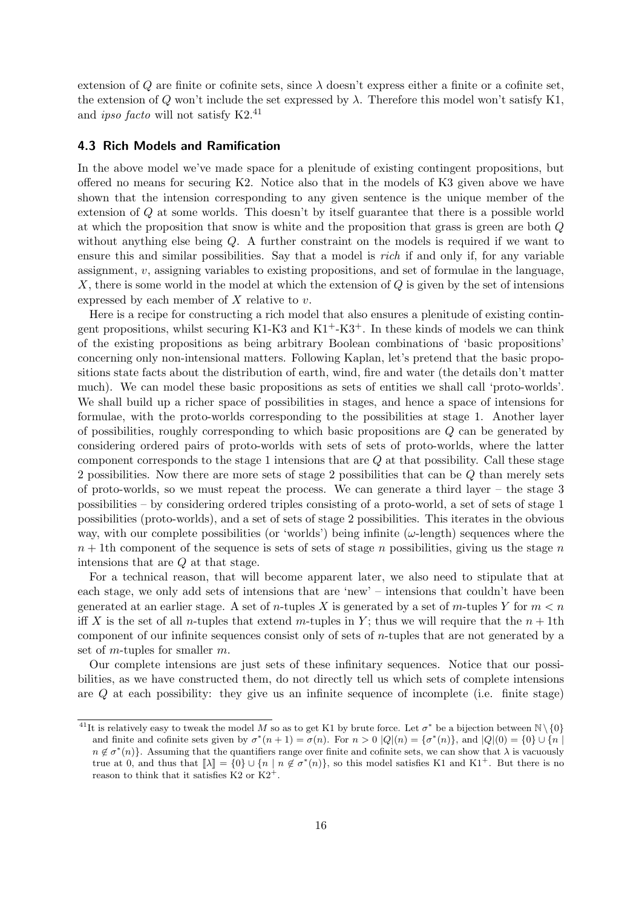extension of Q are finite or cofinite sets, since  $\lambda$  doesn't express either a finite or a cofinite set, the extension of Q won't include the set expressed by  $\lambda$ . Therefore this model won't satisfy K1, and *ipso facto* will not satisfy  $K2<sup>41</sup>$ 

#### 4.3 Rich Models and Ramification

In the above model we've made space for a plenitude of existing contingent propositions, but offered no means for securing K2. Notice also that in the models of K3 given above we have shown that the intension corresponding to any given sentence is the unique member of the extension of Q at some worlds. This doesn't by itself guarantee that there is a possible world at which the proposition that snow is white and the proposition that grass is green are both Q without anything else being Q. A further constraint on the models is required if we want to ensure this and similar possibilities. Say that a model is rich if and only if, for any variable assignment,  $v$ , assigning variables to existing propositions, and set of formulae in the language, X, there is some world in the model at which the extension of  $Q$  is given by the set of intensions expressed by each member of  $X$  relative to  $v$ .

Here is a recipe for constructing a rich model that also ensures a plenitude of existing contingent propositions, whilst securing K1-K3 and  $K1+K3+$ . In these kinds of models we can think of the existing propositions as being arbitrary Boolean combinations of 'basic propositions' concerning only non-intensional matters. Following Kaplan, let's pretend that the basic propositions state facts about the distribution of earth, wind, fire and water (the details don't matter much). We can model these basic propositions as sets of entities we shall call 'proto-worlds'. We shall build up a richer space of possibilities in stages, and hence a space of intensions for formulae, with the proto-worlds corresponding to the possibilities at stage 1. Another layer of possibilities, roughly corresponding to which basic propositions are Q can be generated by considering ordered pairs of proto-worlds with sets of sets of proto-worlds, where the latter component corresponds to the stage 1 intensions that are  $Q$  at that possibility. Call these stage 2 possibilities. Now there are more sets of stage 2 possibilities that can be Q than merely sets of proto-worlds, so we must repeat the process. We can generate a third layer – the stage 3 possibilities – by considering ordered triples consisting of a proto-world, a set of sets of stage 1 possibilities (proto-worlds), and a set of sets of stage 2 possibilities. This iterates in the obvious way, with our complete possibilities (or 'worlds') being infinite  $(\omega$ -length) sequences where the  $n + 1$ th component of the sequence is sets of sets of stage n possibilities, giving us the stage n intensions that are Q at that stage.

For a technical reason, that will become apparent later, we also need to stipulate that at each stage, we only add sets of intensions that are 'new' – intensions that couldn't have been generated at an earlier stage. A set of *n*-tuples X is generated by a set of *m*-tuples Y for  $m < n$ iff X is the set of all n-tuples that extend m-tuples in Y; thus we will require that the  $n + 1$ th component of our infinite sequences consist only of sets of  $n$ -tuples that are not generated by a set of *m*-tuples for smaller  $m$ .

Our complete intensions are just sets of these infinitary sequences. Notice that our possibilities, as we have constructed them, do not directly tell us which sets of complete intensions are Q at each possibility: they give us an infinite sequence of incomplete (i.e. finite stage)

<sup>&</sup>lt;sup>41</sup>It is relatively easy to tweak the model M so as to get K1 by brute force. Let  $\sigma^*$  be a bijection between  $\mathbb{N}\setminus\{0\}$ and finite and cofinite sets given by  $\sigma^*(n+1) = \sigma(n)$ . For  $n > 0$   $|Q|(n) = {\sigma^*(n)}$ , and  $|Q|(0) = {0} \cup {n}$  $n \notin \sigma^*(n)$ . Assuming that the quantifiers range over finite and cofinite sets, we can show that  $\lambda$  is vacuously true at 0, and thus that  $[\![\lambda]\!] = \{0\} \cup \{n \mid n \notin \sigma^*(n)\}\)$ , so this model satisfies K1 and K1<sup>+</sup>. But there is no<br>reason to think that it satisfies K2 or K2<sup>+</sup> reason to think that it satisfies  $K2$  or  $K2<sup>+</sup>$ .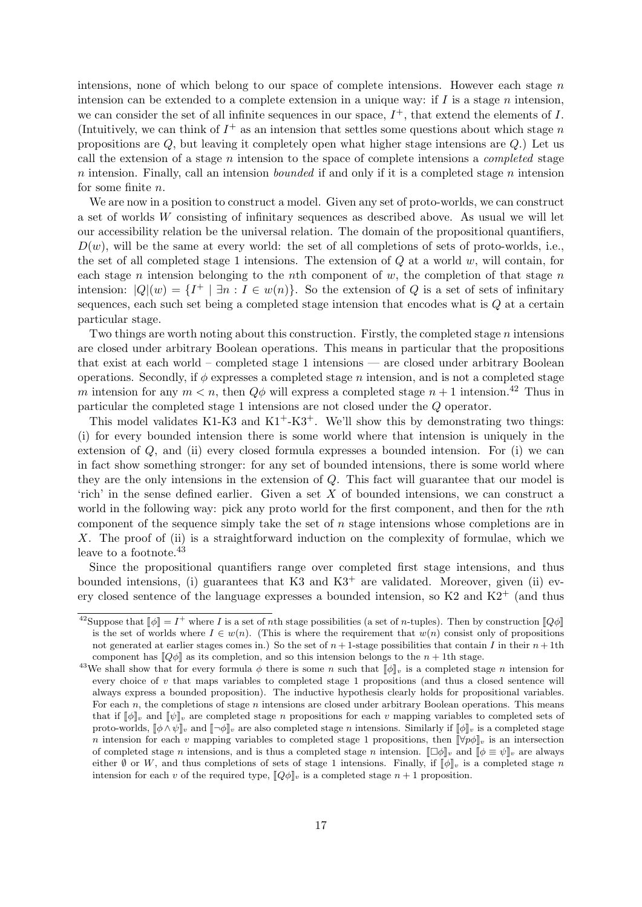intensions, none of which belong to our space of complete intensions. However each stage  $n$ intension can be extended to a complete extension in a unique way: if  $I$  is a stage  $n$  intension, we can consider the set of all infinite sequences in our space,  $I^+$ , that extend the elements of I. (Intuitively, we can think of  $I^+$  as an intension that settles some questions about which stage n propositions are  $Q$ , but leaving it completely open what higher stage intensions are  $Q$ .) Let us call the extension of a stage  $n$  intension to the space of complete intensions a *completed* stage  $n$  intension. Finally, call an intension *bounded* if and only if it is a completed stage  $n$  intension for some finite n.

We are now in a position to construct a model. Given any set of proto-worlds, we can construct a set of worlds W consisting of infinitary sequences as described above. As usual we will let our accessibility relation be the universal relation. The domain of the propositional quantifiers,  $D(w)$ , will be the same at every world: the set of all completions of sets of proto-worlds, i.e., the set of all completed stage 1 intensions. The extension of  $Q$  at a world  $w$ , will contain, for each stage n intension belonging to the nth component of  $w$ , the completion of that stage n intension:  $|Q|(w) = \{I^+ | \exists n : I \in w(n)\}\$ . So the extension of Q is a set of sets of infinitary sequences, each such set being a completed stage intension that encodes what is  $Q$  at a certain particular stage.

Two things are worth noting about this construction. Firstly, the completed stage  $n$  intensions are closed under arbitrary Boolean operations. This means in particular that the propositions that exist at each world – completed stage 1 intensions — are closed under arbitrary Boolean operations. Secondly, if  $\phi$  expresses a completed stage n intension, and is not a completed stage m intension for any  $m < n$ , then  $Q\phi$  will express a completed stage  $n + 1$  intension.<sup>42</sup> Thus in particular the completed stage 1 intensions are not closed under the Q operator.

This model validates K1-K3 and  $K1^+$ -K3<sup>+</sup>. We'll show this by demonstrating two things: (i) for every bounded intension there is some world where that intension is uniquely in the extension of Q, and (ii) every closed formula expresses a bounded intension. For (i) we can in fact show something stronger: for any set of bounded intensions, there is some world where they are the only intensions in the extension of Q. This fact will guarantee that our model is 'rich' in the sense defined earlier. Given a set X of bounded intensions, we can construct a world in the following way: pick any proto world for the first component, and then for the *n*th component of the sequence simply take the set of  $n$  stage intensions whose completions are in X. The proof of (ii) is a straightforward induction on the complexity of formulae, which we leave to a footnote.<sup>43</sup>

Since the propositional quantifiers range over completed first stage intensions, and thus bounded intensions, (i) guarantees that K3 and  $K3^+$  are validated. Moreover, given (ii) every closed sentence of the language expresses a bounded intension, so  $K2$  and  $K2^+$  (and thus

<sup>&</sup>lt;sup>42</sup>Suppose that  $\llbracket \phi \rrbracket = I^+$  where I is a set of *n*th stage possibilities (a set of *n*-tuples). Then by construction  $\llbracket Q\phi \rrbracket$ is the set of worlds where  $I \in w(n)$ . (This is where the requirement that  $w(n)$  consist only of propositions not generated at earlier stages comes in.) So the set of  $n+1$ -stage possibilities that contain I in their  $n+1$ th component has  $\llbracket Q\phi \rrbracket$  as its completion, and so this intension belongs to the  $n + 1$ th stage.

<sup>&</sup>lt;sup>43</sup>We shall show that for every formula  $\phi$  there is some n such that  $[\![\phi]\!]_v$  is a completed stage n intension for every choice of  $v$  that maps variables to completed stage 1 propositions (and thus a closed sentence will always express a bounded proposition). The inductive hypothesis clearly holds for propositional variables. For each n, the completions of stage n intensions are closed under arbitrary Boolean operations. This means that if  $\llbracket \phi \rrbracket$ , and  $\llbracket \psi \rrbracket$ , are completed stage *n* propositions for each *v* mapping variables to completed sets of proto-worlds,  $\llbracket \phi \wedge \psi \rrbracket_v$  and  $\llbracket \neg \phi \rrbracket_v$  are also completed stage *n* intensions. Similarly if  $\llbracket \phi \rrbracket_v$  is a completed stage n intension for each v mapping variables to completed stage 1 propositions, then  $\lbrack \lbrack \forall p\phi \rbrack_v$  is an intersection of completed stage n intensions, and is thus a completed stage n intension.  $\|\Box\phi\|_v$  and  $\|\phi\equiv\psi\|_v$  are always either Ø or W, and thus completions of sets of stage 1 intensions. Finally, if  $\llbracket \phi \rrbracket_v$  is a completed stage n intension for each v of the required type,  $\llbracket Q\phi \rrbracket_v$  is a completed stage  $n + 1$  proposition.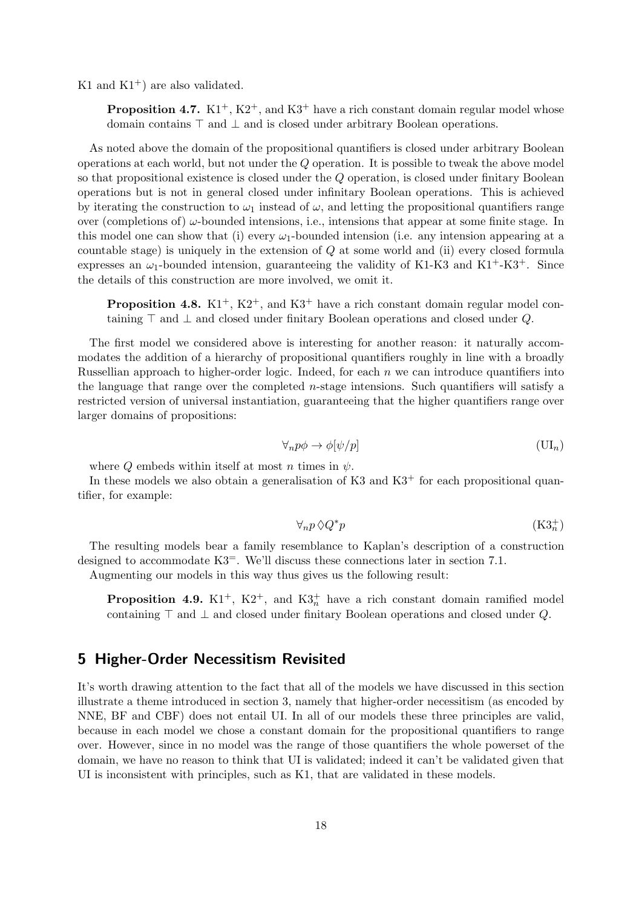K1 and  $K1^+$ ) are also validated.

**Proposition 4.7.** K1<sup>+</sup>, K2<sup>+</sup>, and K3<sup>+</sup> have a rich constant domain regular model whose domain contains  $\top$  and  $\bot$  and is closed under arbitrary Boolean operations.

As noted above the domain of the propositional quantifiers is closed under arbitrary Boolean operations at each world, but not under the Q operation. It is possible to tweak the above model so that propositional existence is closed under the Q operation, is closed under finitary Boolean operations but is not in general closed under infinitary Boolean operations. This is achieved by iterating the construction to  $\omega_1$  instead of  $\omega$ , and letting the propositional quantifiers range over (completions of)  $\omega$ -bounded intensions, i.e., intensions that appear at some finite stage. In this model one can show that (i) every  $\omega_1$ -bounded intension (i.e. any intension appearing at a countable stage) is uniquely in the extension of  $Q$  at some world and (ii) every closed formula expresses an  $\omega_1$ -bounded intension, guaranteeing the validity of K1-K3 and K1<sup>+</sup>-K3<sup>+</sup>. Since the details of this construction are more involved, we omit it.

**Proposition 4.8.** K1<sup>+</sup>, K2<sup>+</sup>, and K3<sup>+</sup> have a rich constant domain regular model containing  $\top$  and  $\bot$  and closed under finitary Boolean operations and closed under Q.

The first model we considered above is interesting for another reason: it naturally accommodates the addition of a hierarchy of propositional quantifiers roughly in line with a broadly Russellian approach to higher-order logic. Indeed, for each  $n$  we can introduce quantifiers into the language that range over the completed *n*-stage intensions. Such quantifiers will satisfy a restricted version of universal instantiation, guaranteeing that the higher quantifiers range over larger domains of propositions:

$$
\forall_n p \phi \to \phi[\psi/p] \tag{U I_n}
$$

where Q embeds within itself at most n times in  $\psi$ .

In these models we also obtain a generalisation of K3 and  $K3$ <sup>+</sup> for each propositional quantifier, for example:

$$
\forall_n p \Diamond Q^* p \tag{K3_n^+}
$$

The resulting models bear a family resemblance to Kaplan's description of a construction designed to accommodate K3=. We'll discuss these connections later in section 7.1.

Augmenting our models in this way thus gives us the following result:

**Proposition 4.9.**  $K1^+$ ,  $K2^+$ , and  $K3^+_n$  have a rich constant domain ramified model containing  $\top$  and  $\bot$  and closed under finitary Boolean operations and closed under Q.

### 5 Higher-Order Necessitism Revisited

It's worth drawing attention to the fact that all of the models we have discussed in this section illustrate a theme introduced in section 3, namely that higher-order necessitism (as encoded by NNE, BF and CBF) does not entail UI. In all of our models these three principles are valid, because in each model we chose a constant domain for the propositional quantifiers to range over. However, since in no model was the range of those quantifiers the whole powerset of the domain, we have no reason to think that UI is validated; indeed it can't be validated given that UI is inconsistent with principles, such as K1, that are validated in these models.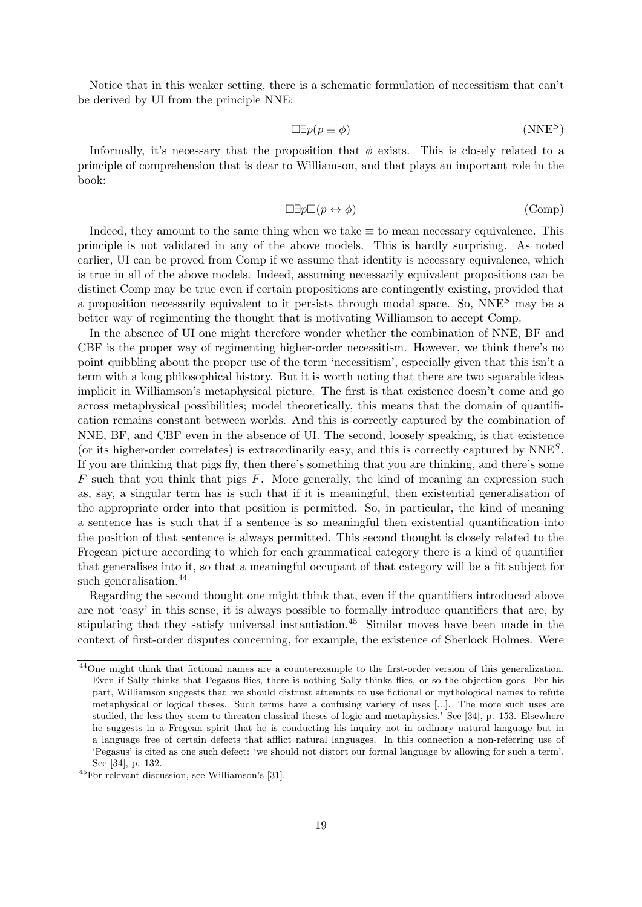Notice that in this weaker setting, there is a schematic formulation of necessitism that can't be derived by UI from the principle NNE:

$$
\Box \exists p(p \equiv \phi) \tag{NNE}^S
$$

Informally, it's necessary that the proposition that  $\phi$  exists. This is closely related to a principle of comprehension that is dear to Williamson, and that plays an important role in the book:

$$
\Box \exists p \Box (p \leftrightarrow \phi) \tag{Comp}
$$

Indeed, they amount to the same thing when we take  $\equiv$  to mean necessary equivalence. This principle is not validated in any of the above models. This is hardly surprising. As noted earlier, UI can be proved from Comp if we assume that identity is necessary equivalence, which is true in all of the above models. Indeed, assuming necessarily equivalent propositions can be distinct Comp may be true even if certain propositions are contingently existing, provided that a proposition necessarily equivalent to it persists through modal space. So,  $NNE<sup>S</sup>$  may be a better way of regimenting the thought that is motivating Williamson to accept Comp.

In the absence of UI one might therefore wonder whether the combination of NNE, BF and CBF is the proper way of regimenting higher-order necessitism. However, we think there's no point quibbling about the proper use of the term 'necessitism', especially given that this isn't a term with a long philosophical history. But it is worth noting that there are two separable ideas implicit in Williamson's metaphysical picture. The first is that existence doesn't come and go across metaphysical possibilities; model theoretically, this means that the domain of quantification remains constant between worlds. And this is correctly captured by the combination of NNE, BF, and CBF even in the absence of UI. The second, loosely speaking, is that existence (or its higher-order correlates) is extraordinarily easy, and this is correctly captured by  $NNE<sup>S</sup>$ . If you are thinking that pigs fly, then there's something that you are thinking, and there's some  $F$  such that you think that pigs  $F$ . More generally, the kind of meaning an expression such as, say, a singular term has is such that if it is meaningful, then existential generalisation of the appropriate order into that position is permitted. So, in particular, the kind of meaning a sentence has is such that if a sentence is so meaningful then existential quantification into the position of that sentence is always permitted. This second thought is closely related to the Fregean picture according to which for each grammatical category there is a kind of quantifier that generalises into it, so that a meaningful occupant of that category will be a fit subject for such generalisation.<sup>44</sup>

Regarding the second thought one might think that, even if the quantifiers introduced above are not 'easy' in this sense, it is always possible to formally introduce quantifiers that are, by stipulating that they satisfy universal instantiation.<sup>45</sup> Similar moves have been made in the context of first-order disputes concerning, for example, the existence of Sherlock Holmes. Were

<sup>&</sup>lt;sup>44</sup>One might think that fictional names are a counterexample to the first-order version of this generalization. Even if Sally thinks that Pegasus flies, there is nothing Sally thinks flies, or so the objection goes. For his part, Williamson suggests that 'we should distrust attempts to use fictional or mythological names to refute metaphysical or logical theses. Such terms have a confusing variety of uses [...]. The more such uses are studied, the less they seem to threaten classical theses of logic and metaphysics.' See [34], p. 153. Elsewhere he suggests in a Fregean spirit that he is conducting his inquiry not in ordinary natural language but in a language free of certain defects that afflict natural languages. In this connection a non-referring use of 'Pegasus' is cited as one such defect: 'we should not distort our formal language by allowing for such a term'. See [34], p. 132.

<sup>45</sup>For relevant discussion, see Williamson's [31].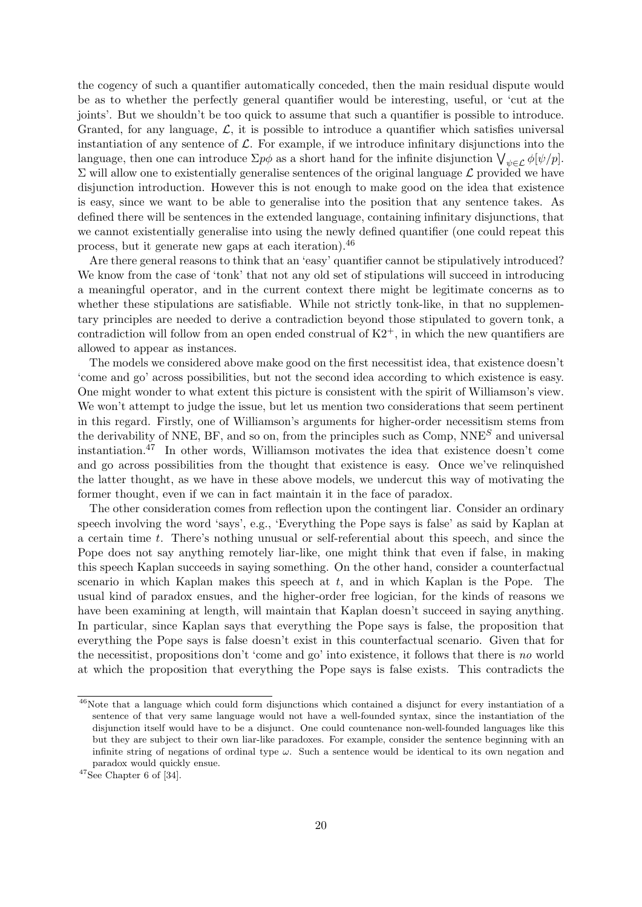the cogency of such a quantifier automatically conceded, then the main residual dispute would be as to whether the perfectly general quantifier would be interesting, useful, or 'cut at the joints'. But we shouldn't be too quick to assume that such a quantifier is possible to introduce. Granted, for any language,  $\mathcal{L}$ , it is possible to introduce a quantifier which satisfies universal instantiation of any sentence of  $\mathcal{L}$ . For example, if we introduce infinitary disjunctions into the language, then one can introduce  $\Sigma p\phi$  as a short hand for the infinite disjunction  $\bigvee_{\psi \in \mathcal{L}} \phi[\psi/p]$ .  $\Sigma$  will allow one to existentially generalise sentences of the original language  $\mathcal L$  provided we have disjunction introduction. However this is not enough to make good on the idea that existence is easy, since we want to be able to generalise into the position that any sentence takes. As defined there will be sentences in the extended language, containing infinitary disjunctions, that we cannot existentially generalise into using the newly defined quantifier (one could repeat this process, but it generate new gaps at each iteration).<sup>46</sup>

Are there general reasons to think that an 'easy' quantifier cannot be stipulatively introduced? We know from the case of 'tonk' that not any old set of stipulations will succeed in introducing a meaningful operator, and in the current context there might be legitimate concerns as to whether these stipulations are satisfiable. While not strictly tonk-like, in that no supplementary principles are needed to derive a contradiction beyond those stipulated to govern tonk, a contradiction will follow from an open ended construal of  $K2^+$ , in which the new quantifiers are allowed to appear as instances.

The models we considered above make good on the first necessitist idea, that existence doesn't 'come and go' across possibilities, but not the second idea according to which existence is easy. One might wonder to what extent this picture is consistent with the spirit of Williamson's view. We won't attempt to judge the issue, but let us mention two considerations that seem pertinent in this regard. Firstly, one of Williamson's arguments for higher-order necessitism stems from the derivability of NNE, BF, and so on, from the principles such as  $Comp$ , NNE<sup>S</sup> and universal instantiation.<sup>47</sup> In other words, Williamson motivates the idea that existence doesn't come and go across possibilities from the thought that existence is easy. Once we've relinquished the latter thought, as we have in these above models, we undercut this way of motivating the former thought, even if we can in fact maintain it in the face of paradox.

The other consideration comes from reflection upon the contingent liar. Consider an ordinary speech involving the word 'says', e.g., 'Everything the Pope says is false' as said by Kaplan at a certain time t. There's nothing unusual or self-referential about this speech, and since the Pope does not say anything remotely liar-like, one might think that even if false, in making this speech Kaplan succeeds in saying something. On the other hand, consider a counterfactual scenario in which Kaplan makes this speech at  $t$ , and in which Kaplan is the Pope. The usual kind of paradox ensues, and the higher-order free logician, for the kinds of reasons we have been examining at length, will maintain that Kaplan doesn't succeed in saying anything. In particular, since Kaplan says that everything the Pope says is false, the proposition that everything the Pope says is false doesn't exist in this counterfactual scenario. Given that for the necessitist, propositions don't 'come and go' into existence, it follows that there is no world at which the proposition that everything the Pope says is false exists. This contradicts the

<sup>46</sup>Note that a language which could form disjunctions which contained a disjunct for every instantiation of a sentence of that very same language would not have a well-founded syntax, since the instantiation of the disjunction itself would have to be a disjunct. One could countenance non-well-founded languages like this but they are subject to their own liar-like paradoxes. For example, consider the sentence beginning with an infinite string of negations of ordinal type  $\omega$ . Such a sentence would be identical to its own negation and paradox would quickly ensue.

 $47$ See Chapter 6 of [34].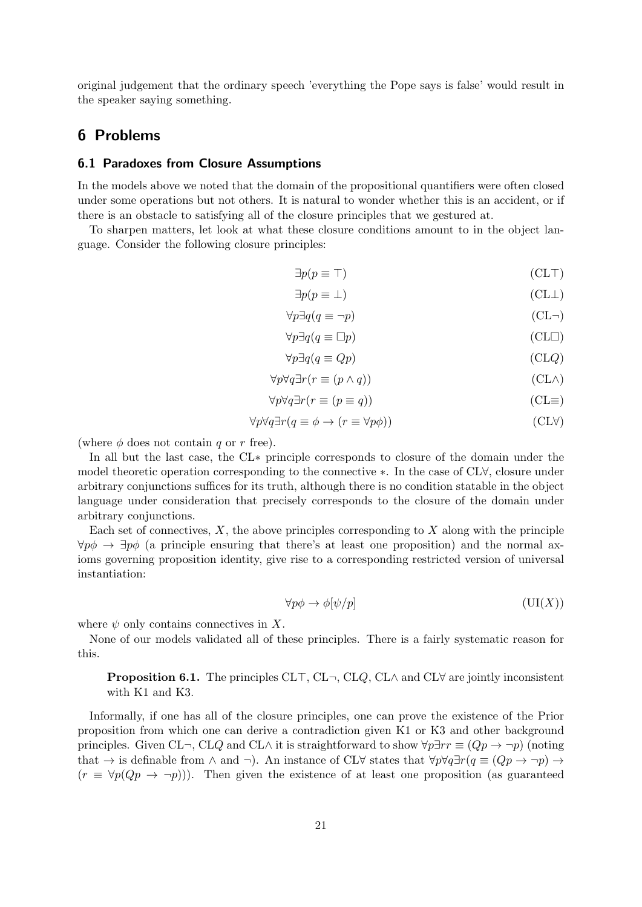original judgement that the ordinary speech 'everything the Pope says is false' would result in the speaker saying something.

### 6 Problems

#### 6.1 Paradoxes from Closure Assumptions

In the models above we noted that the domain of the propositional quantifiers were often closed under some operations but not others. It is natural to wonder whether this is an accident, or if there is an obstacle to satisfying all of the closure principles that we gestured at.

To sharpen matters, let look at what these closure conditions amount to in the object language. Consider the following closure principles:

$$
\exists p(p \equiv \top) \tag{CLT}
$$

$$
\exists p(p \equiv \bot) \tag{CL} \bot
$$

$$
\forall p \exists q (q \equiv \neg p) \tag{CL-}
$$

$$
\forall p \exists q (q \equiv \Box p) \tag{CL}
$$

$$
\forall p \exists q (q \equiv Qp) \tag{CLQ}
$$

$$
\forall p \forall q \exists r (r \equiv (p \land q))
$$
 (CL $\land$ )

$$
\forall p \forall q \exists r (r \equiv (p \equiv q))
$$
 (CL=)

$$
\forall p \forall q \exists r (q \equiv \phi \to (r \equiv \forall p \phi))
$$
 (CLV)

(where  $\phi$  does not contain q or r free).

In all but the last case, the CL∗ principle corresponds to closure of the domain under the model theoretic operation corresponding to the connective ∗. In the case of CL∀, closure under arbitrary conjunctions suffices for its truth, although there is no condition statable in the object language under consideration that precisely corresponds to the closure of the domain under arbitrary conjunctions.

Each set of connectives,  $X$ , the above principles corresponding to  $X$  along with the principle  $\forall p\phi \rightarrow \exists p\phi$  (a principle ensuring that there's at least one proposition) and the normal axioms governing proposition identity, give rise to a corresponding restricted version of universal instantiation:

$$
\forall p \phi \to \phi[\psi/p] \tag{UI}(X))
$$

where  $\psi$  only contains connectives in X.

None of our models validated all of these principles. There is a fairly systematic reason for this.

**Proposition 6.1.** The principles CL $\top$ , CL $\neg$ , CL $Q$ , CL $\wedge$  and CL $\forall$  are jointly inconsistent with K1 and K3.

Informally, if one has all of the closure principles, one can prove the existence of the Prior proposition from which one can derive a contradiction given K1 or K3 and other background principles. Given CL¬, CLQ and CL∧ it is straightforward to show  $\forall p\exists rr \equiv (Qp \rightarrow \neg p)$  (noting that  $\rightarrow$  is definable from  $\land$  and  $\neg$ ). An instance of CL∀ states that  $\forall p \forall q \exists r (q \equiv (Qp \rightarrow \neg p) \rightarrow$  $(r \equiv \forall p(Qp \rightarrow \neg p))$ . Then given the existence of at least one proposition (as guaranteed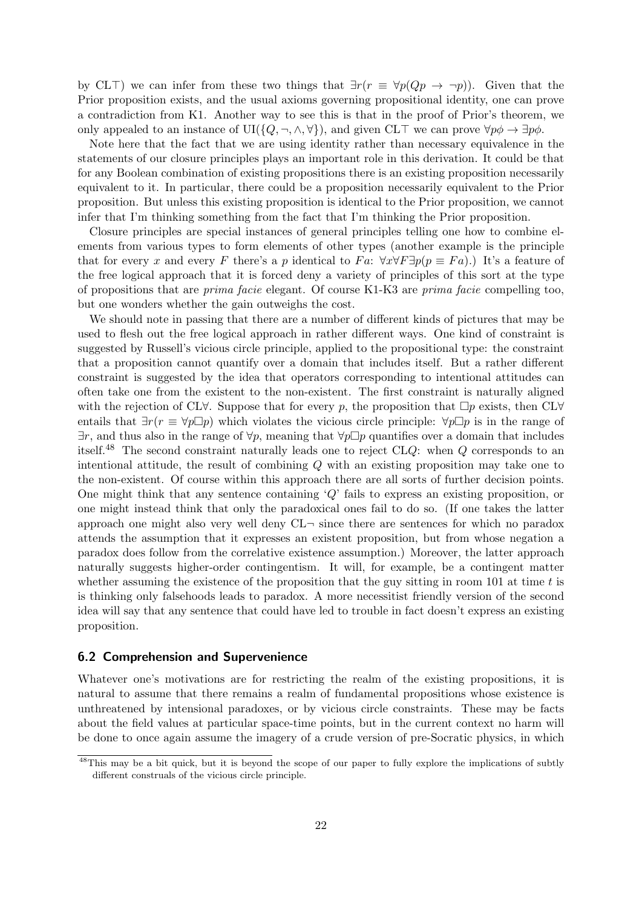by CL<sup> $\top$ </sup>) we can infer from these two things that  $\exists r(r \equiv \forall p(Qp \rightarrow \neg p))$ . Given that the Prior proposition exists, and the usual axioms governing propositional identity, one can prove a contradiction from K1. Another way to see this is that in the proof of Prior's theorem, we only appealed to an instance of UI( $\{Q, \neg, \wedge, \forall\}$ ), and given CLT we can prove  $\forall p\phi \rightarrow \exists p\phi$ .

Note here that the fact that we are using identity rather than necessary equivalence in the statements of our closure principles plays an important role in this derivation. It could be that for any Boolean combination of existing propositions there is an existing proposition necessarily equivalent to it. In particular, there could be a proposition necessarily equivalent to the Prior proposition. But unless this existing proposition is identical to the Prior proposition, we cannot infer that I'm thinking something from the fact that I'm thinking the Prior proposition.

Closure principles are special instances of general principles telling one how to combine elements from various types to form elements of other types (another example is the principle that for every x and every F there's a p identical to Fa:  $\forall x \forall F \exists p (p \equiv Fa)$ .) It's a feature of the free logical approach that it is forced deny a variety of principles of this sort at the type of propositions that are prima facie elegant. Of course K1-K3 are prima facie compelling too, but one wonders whether the gain outweighs the cost.

We should note in passing that there are a number of different kinds of pictures that may be used to flesh out the free logical approach in rather different ways. One kind of constraint is suggested by Russell's vicious circle principle, applied to the propositional type: the constraint that a proposition cannot quantify over a domain that includes itself. But a rather different constraint is suggested by the idea that operators corresponding to intentional attitudes can often take one from the existent to the non-existent. The first constraint is naturally aligned with the rejection of CL $\forall$ . Suppose that for every p, the proposition that  $\Box p$  exists, then CL $\forall$ entails that  $\exists r(r \equiv \forall p \Box p)$  which violates the vicious circle principle:  $\forall p \Box p$  is in the range of  $\exists r$ , and thus also in the range of  $\forall p$ , meaning that  $\forall p \Box p$  quantifies over a domain that includes itself.<sup>48</sup> The second constraint naturally leads one to reject  $CLQ$ : when  $Q$  corresponds to an intentional attitude, the result of combining Q with an existing proposition may take one to the non-existent. Of course within this approach there are all sorts of further decision points. One might think that any sentence containing  $\mathcal{Q}'$  fails to express an existing proposition, or one might instead think that only the paradoxical ones fail to do so. (If one takes the latter approach one might also very well deny  $CL\n\neg$  since there are sentences for which no paradox attends the assumption that it expresses an existent proposition, but from whose negation a paradox does follow from the correlative existence assumption.) Moreover, the latter approach naturally suggests higher-order contingentism. It will, for example, be a contingent matter whether assuming the existence of the proposition that the guy sitting in room 101 at time  $t$  is is thinking only falsehoods leads to paradox. A more necessitist friendly version of the second idea will say that any sentence that could have led to trouble in fact doesn't express an existing proposition.

#### 6.2 Comprehension and Supervenience

Whatever one's motivations are for restricting the realm of the existing propositions, it is natural to assume that there remains a realm of fundamental propositions whose existence is unthreatened by intensional paradoxes, or by vicious circle constraints. These may be facts about the field values at particular space-time points, but in the current context no harm will be done to once again assume the imagery of a crude version of pre-Socratic physics, in which

<sup>48</sup>This may be a bit quick, but it is beyond the scope of our paper to fully explore the implications of subtly different construals of the vicious circle principle.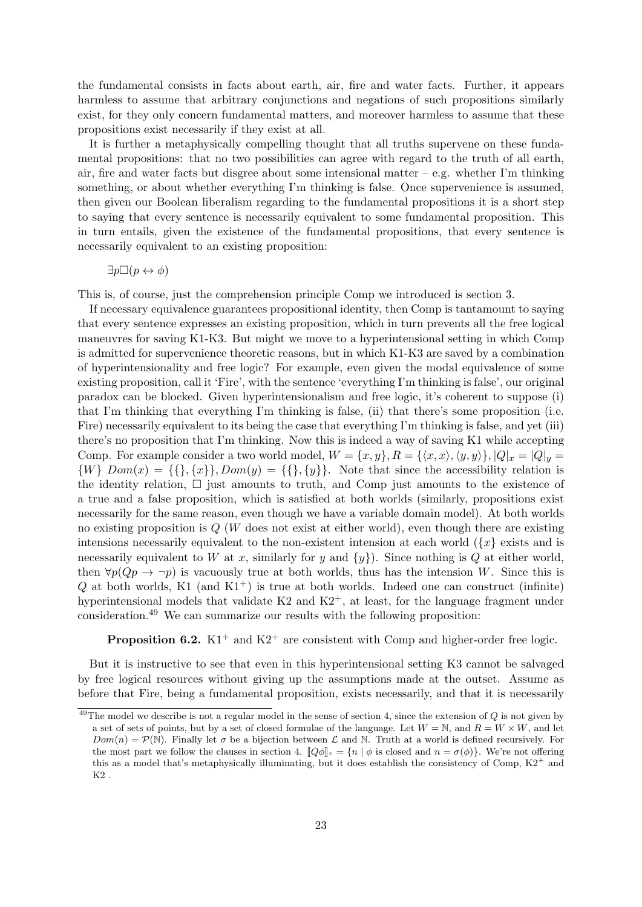the fundamental consists in facts about earth, air, fire and water facts. Further, it appears harmless to assume that arbitrary conjunctions and negations of such propositions similarly exist, for they only concern fundamental matters, and moreover harmless to assume that these propositions exist necessarily if they exist at all.

It is further a metaphysically compelling thought that all truths supervene on these fundamental propositions: that no two possibilities can agree with regard to the truth of all earth, air, fire and water facts but disgree about some intensional matter – e.g. whether I'm thinking something, or about whether everything I'm thinking is false. Once supervenience is assumed, then given our Boolean liberalism regarding to the fundamental propositions it is a short step to saying that every sentence is necessarily equivalent to some fundamental proposition. This in turn entails, given the existence of the fundamental propositions, that every sentence is necessarily equivalent to an existing proposition:

$$
\exists p \Box (p \leftrightarrow \phi)
$$

This is, of course, just the comprehension principle Comp we introduced is section 3.

If necessary equivalence guarantees propositional identity, then Comp is tantamount to saying that every sentence expresses an existing proposition, which in turn prevents all the free logical maneuvres for saving K1-K3. But might we move to a hyperintensional setting in which Comp is admitted for supervenience theoretic reasons, but in which K1-K3 are saved by a combination of hyperintensionality and free logic? For example, even given the modal equivalence of some existing proposition, call it 'Fire', with the sentence 'everything I'm thinking is false', our original paradox can be blocked. Given hyperintensionalism and free logic, it's coherent to suppose (i) that I'm thinking that everything I'm thinking is false, (ii) that there's some proposition (i.e. Fire) necessarily equivalent to its being the case that everything I'm thinking is false, and yet (iii) there's no proposition that I'm thinking. Now this is indeed a way of saving K1 while accepting Comp. For example consider a two world model,  $W = \{x, y\}$ ,  $R = \{\langle x, x \rangle, \langle y, y \rangle\}$ ,  $|Q|_x = |Q|_y =$  $\{W\}$  Dom(x) =  $\{\{\}, \{x\}\}\$ , Dom(y) =  $\{\{\}, \{y\}\}\$ . Note that since the accessibility relation is the identity relation,  $\Box$  just amounts to truth, and Comp just amounts to the existence of a true and a false proposition, which is satisfied at both worlds (similarly, propositions exist necessarily for the same reason, even though we have a variable domain model). At both worlds no existing proposition is  $Q(W)$  does not exist at either world), even though there are existing intensions necessarily equivalent to the non-existent intension at each world  $\left\{x\right\}$  exists and is necessarily equivalent to W at x, similarly for y and  $\{y\}$ . Since nothing is Q at either world, then  $\forall p(Qp \rightarrow \neg p)$  is vacuously true at both worlds, thus has the intension W. Since this is  $Q$  at both worlds, K1 (and K1<sup>+</sup>) is true at both worlds. Indeed one can construct (infinite) hyperintensional models that validate  $K2$  and  $K2^+$ , at least, for the language fragment under consideration.<sup>49</sup> We can summarize our results with the following proposition:

**Proposition 6.2.** K1<sup>+</sup> and K2<sup>+</sup> are consistent with Comp and higher-order free logic.

But it is instructive to see that even in this hyperintensional setting K3 cannot be salvaged by free logical resources without giving up the assumptions made at the outset. Assume as before that Fire, being a fundamental proposition, exists necessarily, and that it is necessarily

 $^{49}$ The model we describe is not a regular model in the sense of section 4, since the extension of  $Q$  is not given by a set of sets of points, but by a set of closed formulae of the language. Let  $W = N$ , and  $R = W \times W$ , and let  $Dom(n) = \mathcal{P}(\mathbb{N})$ . Finally let  $\sigma$  be a bijection between  $\mathcal{L}$  and  $\mathbb{N}$ . Truth at a world is defined recursively. For the most part we follow the clauses in section 4.  $\llbracket Q\phi \rrbracket_v = \{n \mid \phi \text{ is closed and } n = \sigma(\phi)\}.$  We're not offering this as a model that's metaphysically illuminating, but it does establish the consistency of Comp,  $K2^+$  and  $K2$  .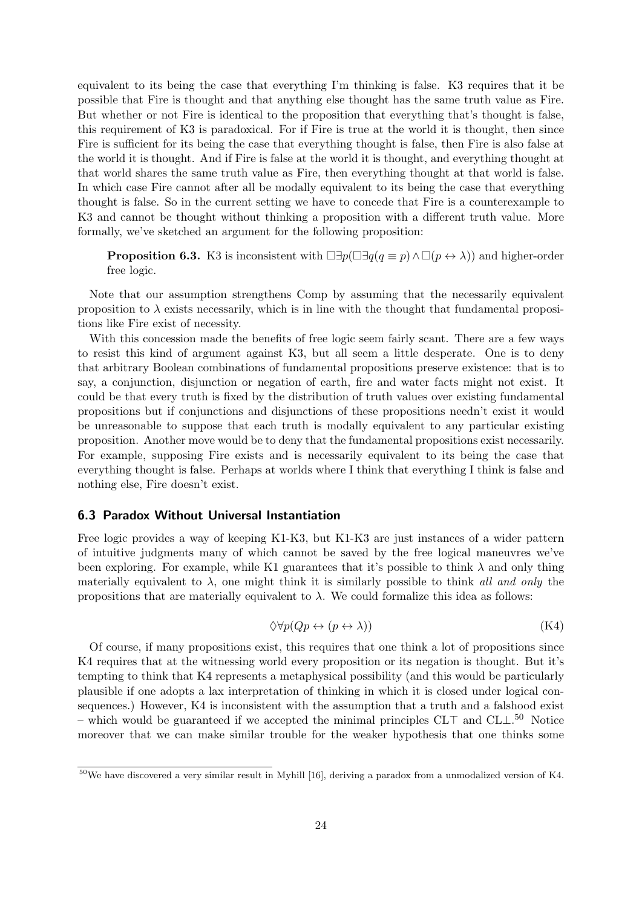equivalent to its being the case that everything I'm thinking is false. K3 requires that it be possible that Fire is thought and that anything else thought has the same truth value as Fire. But whether or not Fire is identical to the proposition that everything that's thought is false, this requirement of K3 is paradoxical. For if Fire is true at the world it is thought, then since Fire is sufficient for its being the case that everything thought is false, then Fire is also false at the world it is thought. And if Fire is false at the world it is thought, and everything thought at that world shares the same truth value as Fire, then everything thought at that world is false. In which case Fire cannot after all be modally equivalent to its being the case that everything thought is false. So in the current setting we have to concede that Fire is a counterexample to K3 and cannot be thought without thinking a proposition with a different truth value. More formally, we've sketched an argument for the following proposition:

**Proposition 6.3.** K3 is inconsistent with  $\Box \exists p(\Box \exists q(q \equiv p) \land \Box (p \leftrightarrow \lambda))$  and higher-order free logic.

Note that our assumption strengthens Comp by assuming that the necessarily equivalent proposition to  $\lambda$  exists necessarily, which is in line with the thought that fundamental propositions like Fire exist of necessity.

With this concession made the benefits of free logic seem fairly scant. There are a few ways to resist this kind of argument against K3, but all seem a little desperate. One is to deny that arbitrary Boolean combinations of fundamental propositions preserve existence: that is to say, a conjunction, disjunction or negation of earth, fire and water facts might not exist. It could be that every truth is fixed by the distribution of truth values over existing fundamental propositions but if conjunctions and disjunctions of these propositions needn't exist it would be unreasonable to suppose that each truth is modally equivalent to any particular existing proposition. Another move would be to deny that the fundamental propositions exist necessarily. For example, supposing Fire exists and is necessarily equivalent to its being the case that everything thought is false. Perhaps at worlds where I think that everything I think is false and nothing else, Fire doesn't exist.

#### 6.3 Paradox Without Universal Instantiation

Free logic provides a way of keeping K1-K3, but K1-K3 are just instances of a wider pattern of intuitive judgments many of which cannot be saved by the free logical maneuvres we've been exploring. For example, while K1 guarantees that it's possible to think  $\lambda$  and only thing materially equivalent to  $\lambda$ , one might think it is similarly possible to think all and only the propositions that are materially equivalent to  $\lambda$ . We could formalize this idea as follows:

$$
\Diamond \forall p (Qp \leftrightarrow (p \leftrightarrow \lambda)) \tag{K4}
$$

Of course, if many propositions exist, this requires that one think a lot of propositions since K4 requires that at the witnessing world every proposition or its negation is thought. But it's tempting to think that K4 represents a metaphysical possibility (and this would be particularly plausible if one adopts a lax interpretation of thinking in which it is closed under logical consequences.) However, K4 is inconsistent with the assumption that a truth and a falshood exist – which would be guaranteed if we accepted the minimal principles  $CLT$  and  $CLL<sup>50</sup>$  Notice moreover that we can make similar trouble for the weaker hypothesis that one thinks some

 $\frac{50}{6}$ We have discovered a very similar result in Myhill [16], deriving a paradox from a unmodalized version of K4.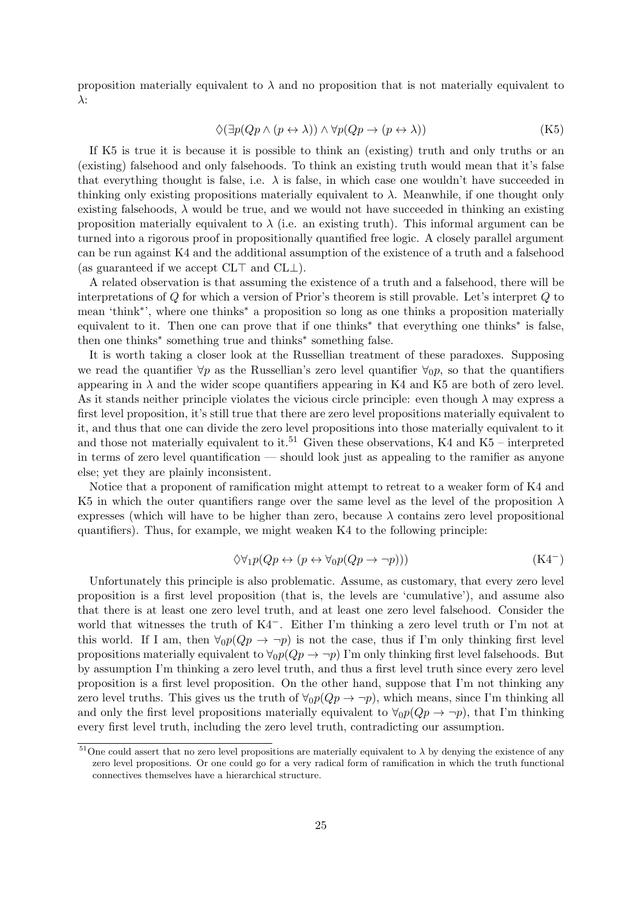proposition materially equivalent to  $\lambda$  and no proposition that is not materially equivalent to λ:

$$
\Diamond(\exists p(Qp \land (p \leftrightarrow \lambda)) \land \forall p(Qp \rightarrow (p \leftrightarrow \lambda))
$$
 (K5)

If K5 is true it is because it is possible to think an (existing) truth and only truths or an (existing) falsehood and only falsehoods. To think an existing truth would mean that it's false that everything thought is false, i.e.  $\lambda$  is false, in which case one wouldn't have succeeded in thinking only existing propositions materially equivalent to  $\lambda$ . Meanwhile, if one thought only existing falsehoods,  $\lambda$  would be true, and we would not have succeeded in thinking an existing proposition materially equivalent to  $\lambda$  (i.e. an existing truth). This informal argument can be turned into a rigorous proof in propositionally quantified free logic. A closely parallel argument can be run against K4 and the additional assumption of the existence of a truth and a falsehood (as guaranteed if we accept  $CL<sup>T</sup>$  and  $CL<sup>T</sup>$ ).

A related observation is that assuming the existence of a truth and a falsehood, there will be interpretations of Q for which a version of Prior's theorem is still provable. Let's interpret Q to mean 'think<sup>\*</sup>', where one thinks<sup>\*</sup> a proposition so long as one thinks a proposition materially equivalent to it. Then one can prove that if one thinks<sup>\*</sup> that everything one thinks<sup>\*</sup> is false, then one thinks<sup>∗</sup> something true and thinks<sup>∗</sup> something false.

It is worth taking a closer look at the Russellian treatment of these paradoxes. Supposing we read the quantifier  $\forall p$  as the Russellian's zero level quantifier  $\forall_0 p$ , so that the quantifiers appearing in  $\lambda$  and the wider scope quantifiers appearing in K4 and K5 are both of zero level. As it stands neither principle violates the vicious circle principle: even though  $\lambda$  may express a first level proposition, it's still true that there are zero level propositions materially equivalent to it, and thus that one can divide the zero level propositions into those materially equivalent to it and those not materially equivalent to it.<sup>51</sup> Given these observations, K4 and K5 – interpreted in terms of zero level quantification — should look just as appealing to the ramifier as anyone else; yet they are plainly inconsistent.

Notice that a proponent of ramification might attempt to retreat to a weaker form of K4 and K5 in which the outer quantifiers range over the same level as the level of the proposition  $\lambda$ expresses (which will have to be higher than zero, because  $\lambda$  contains zero level propositional quantifiers). Thus, for example, we might weaken K4 to the following principle:

$$
\Diamond \forall_1 p(Qp \leftrightarrow (p \leftrightarrow \forall_0 p(Qp \to \neg p))) \tag{K4}
$$

Unfortunately this principle is also problematic. Assume, as customary, that every zero level proposition is a first level proposition (that is, the levels are 'cumulative'), and assume also that there is at least one zero level truth, and at least one zero level falsehood. Consider the world that witnesses the truth of K4−. Either I'm thinking a zero level truth or I'm not at this world. If I am, then  $\forall_0 p(Qp \rightarrow \neg p)$  is not the case, thus if I'm only thinking first level propositions materially equivalent to  $\forall_0 p(Qp \rightarrow \neg p)$  I'm only thinking first level falsehoods. But by assumption I'm thinking a zero level truth, and thus a first level truth since every zero level proposition is a first level proposition. On the other hand, suppose that I'm not thinking any zero level truths. This gives us the truth of  $\forall_0 p(Qp \to \neg p)$ , which means, since I'm thinking all and only the first level propositions materially equivalent to  $\forall_0 p(Qp \rightarrow \neg p)$ , that I'm thinking every first level truth, including the zero level truth, contradicting our assumption.

<sup>&</sup>lt;sup>51</sup>One could assert that no zero level propositions are materially equivalent to  $\lambda$  by denying the existence of any zero level propositions. Or one could go for a very radical form of ramification in which the truth functional connectives themselves have a hierarchical structure.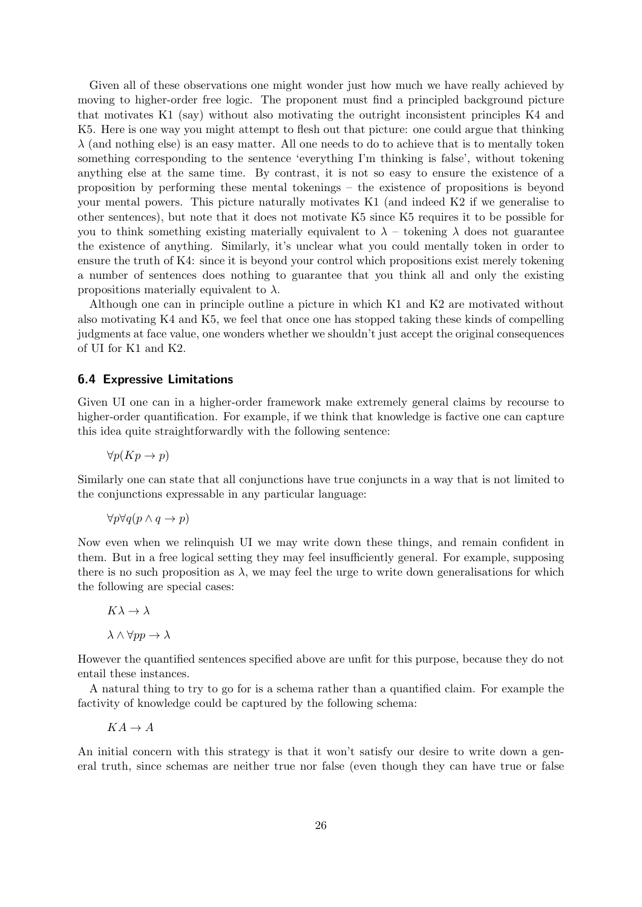Given all of these observations one might wonder just how much we have really achieved by moving to higher-order free logic. The proponent must find a principled background picture that motivates K1 (say) without also motivating the outright inconsistent principles K4 and K5. Here is one way you might attempt to flesh out that picture: one could argue that thinking  $\lambda$  (and nothing else) is an easy matter. All one needs to do to achieve that is to mentally token something corresponding to the sentence 'everything I'm thinking is false', without tokening anything else at the same time. By contrast, it is not so easy to ensure the existence of a proposition by performing these mental tokenings – the existence of propositions is beyond your mental powers. This picture naturally motivates K1 (and indeed K2 if we generalise to other sentences), but note that it does not motivate K5 since K5 requires it to be possible for you to think something existing materially equivalent to  $\lambda$  – tokening  $\lambda$  does not guarantee the existence of anything. Similarly, it's unclear what you could mentally token in order to ensure the truth of K4: since it is beyond your control which propositions exist merely tokening a number of sentences does nothing to guarantee that you think all and only the existing propositions materially equivalent to  $\lambda$ .

Although one can in principle outline a picture in which K1 and K2 are motivated without also motivating K4 and K5, we feel that once one has stopped taking these kinds of compelling judgments at face value, one wonders whether we shouldn't just accept the original consequences of UI for K1 and K2.

#### 6.4 Expressive Limitations

Given UI one can in a higher-order framework make extremely general claims by recourse to higher-order quantification. For example, if we think that knowledge is factive one can capture this idea quite straightforwardly with the following sentence:

$$
\forall p(Kp \to p)
$$

Similarly one can state that all conjunctions have true conjuncts in a way that is not limited to the conjunctions expressable in any particular language:

$$
\forall p \forall q (p \land q \to p)
$$

Now even when we relinquish UI we may write down these things, and remain confident in them. But in a free logical setting they may feel insufficiently general. For example, supposing there is no such proposition as  $\lambda$ , we may feel the urge to write down generalisations for which the following are special cases:

## $K\lambda \to \lambda$  $\lambda \wedge \forall pp \to \lambda$

However the quantified sentences specified above are unfit for this purpose, because they do not entail these instances.

A natural thing to try to go for is a schema rather than a quantified claim. For example the factivity of knowledge could be captured by the following schema:

#### $KA \rightarrow A$

An initial concern with this strategy is that it won't satisfy our desire to write down a general truth, since schemas are neither true nor false (even though they can have true or false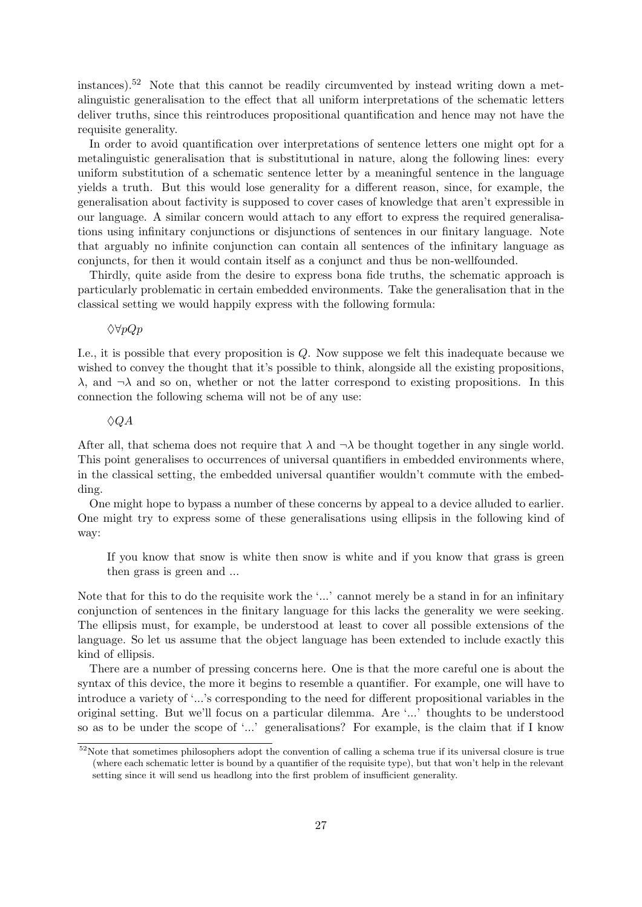instances).<sup>52</sup> Note that this cannot be readily circumvented by instead writing down a metalinguistic generalisation to the effect that all uniform interpretations of the schematic letters deliver truths, since this reintroduces propositional quantification and hence may not have the requisite generality.

In order to avoid quantification over interpretations of sentence letters one might opt for a metalinguistic generalisation that is substitutional in nature, along the following lines: every uniform substitution of a schematic sentence letter by a meaningful sentence in the language yields a truth. But this would lose generality for a different reason, since, for example, the generalisation about factivity is supposed to cover cases of knowledge that aren't expressible in our language. A similar concern would attach to any effort to express the required generalisations using infinitary conjunctions or disjunctions of sentences in our finitary language. Note that arguably no infinite conjunction can contain all sentences of the infinitary language as conjuncts, for then it would contain itself as a conjunct and thus be non-wellfounded.

Thirdly, quite aside from the desire to express bona fide truths, the schematic approach is particularly problematic in certain embedded environments. Take the generalisation that in the classical setting we would happily express with the following formula:

 $\Diamond \forall pQp$ 

I.e., it is possible that every proposition is Q. Now suppose we felt this inadequate because we wished to convey the thought that it's possible to think, alongside all the existing propositions,  $\lambda$ , and  $\neg \lambda$  and so on, whether or not the latter correspond to existing propositions. In this connection the following schema will not be of any use:

#### $\Diamond QA$

After all, that schema does not require that  $\lambda$  and  $\neg \lambda$  be thought together in any single world. This point generalises to occurrences of universal quantifiers in embedded environments where, in the classical setting, the embedded universal quantifier wouldn't commute with the embedding.

One might hope to bypass a number of these concerns by appeal to a device alluded to earlier. One might try to express some of these generalisations using ellipsis in the following kind of way:

If you know that snow is white then snow is white and if you know that grass is green then grass is green and ...

Note that for this to do the requisite work the '...' cannot merely be a stand in for an infinitary conjunction of sentences in the finitary language for this lacks the generality we were seeking. The ellipsis must, for example, be understood at least to cover all possible extensions of the language. So let us assume that the object language has been extended to include exactly this kind of ellipsis.

There are a number of pressing concerns here. One is that the more careful one is about the syntax of this device, the more it begins to resemble a quantifier. For example, one will have to introduce a variety of '...'s corresponding to the need for different propositional variables in the original setting. But we'll focus on a particular dilemma. Are '...' thoughts to be understood so as to be under the scope of '...' generalisations? For example, is the claim that if I know

 $\frac{52}{6}$ Note that sometimes philosophers adopt the convention of calling a schema true if its universal closure is true (where each schematic letter is bound by a quantifier of the requisite type), but that won't help in the relevant setting since it will send us headlong into the first problem of insufficient generality.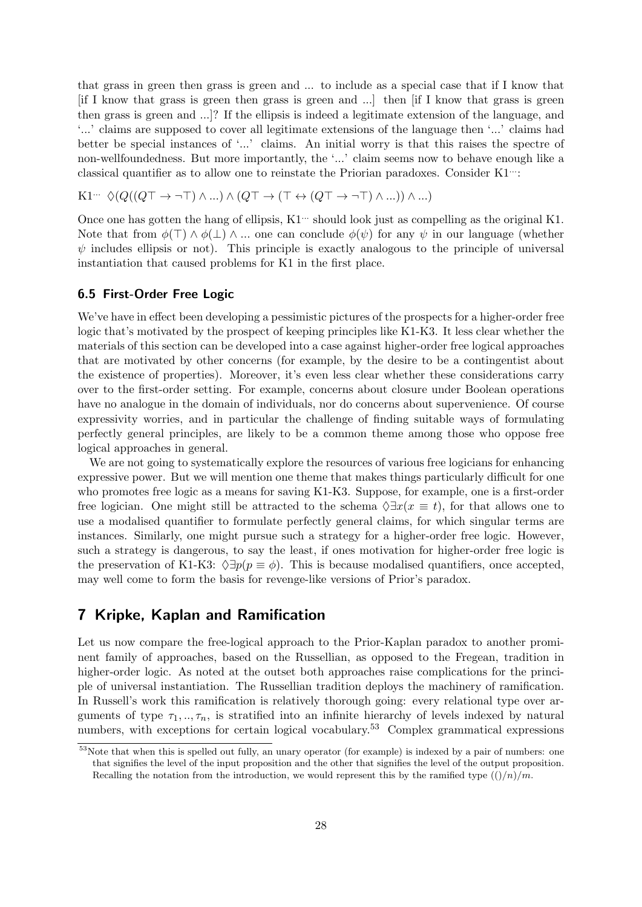that grass in green then grass is green and ... to include as a special case that if I know that [if I know that grass is green then grass is green and ...] then [if I know that grass is green then grass is green and ...]? If the ellipsis is indeed a legitimate extension of the language, and '...' claims are supposed to cover all legitimate extensions of the language then '...' claims had better be special instances of '...' claims. An initial worry is that this raises the spectre of non-wellfoundedness. But more importantly, the '...' claim seems now to behave enough like a classical quantifier as to allow one to reinstate the Priorian paradoxes. Consider K1...

K1<sup>...</sup> 
$$
\Diamond(Q((Q\top \rightarrow \neg \top) \land ...) \land (Q\top \rightarrow (\top \leftrightarrow (Q\top \rightarrow \neg \top) \land ...)) \land ...)
$$

Once one has gotten the hang of ellipsis,  $K1$ <sup> $\cdots$ </sup> should look just as compelling as the original K1. Note that from  $\phi(\top) \wedge \phi(\bot) \wedge ...$  one can conclude  $\phi(\psi)$  for any  $\psi$  in our language (whether  $\psi$  includes ellipsis or not). This principle is exactly analogous to the principle of universal instantiation that caused problems for K1 in the first place.

#### 6.5 First-Order Free Logic

We've have in effect been developing a pessimistic pictures of the prospects for a higher-order free logic that's motivated by the prospect of keeping principles like K1-K3. It less clear whether the materials of this section can be developed into a case against higher-order free logical approaches that are motivated by other concerns (for example, by the desire to be a contingentist about the existence of properties). Moreover, it's even less clear whether these considerations carry over to the first-order setting. For example, concerns about closure under Boolean operations have no analogue in the domain of individuals, nor do concerns about supervenience. Of course expressivity worries, and in particular the challenge of finding suitable ways of formulating perfectly general principles, are likely to be a common theme among those who oppose free logical approaches in general.

We are not going to systematically explore the resources of various free logicians for enhancing expressive power. But we will mention one theme that makes things particularly difficult for one who promotes free logic as a means for saving K1-K3. Suppose, for example, one is a first-order free logician. One might still be attracted to the schema  $\Diamond \exists x(x \equiv t)$ , for that allows one to use a modalised quantifier to formulate perfectly general claims, for which singular terms are instances. Similarly, one might pursue such a strategy for a higher-order free logic. However, such a strategy is dangerous, to say the least, if ones motivation for higher-order free logic is the preservation of K1-K3:  $\Diamond \exists p (p \equiv \phi)$ . This is because modalised quantifiers, once accepted, may well come to form the basis for revenge-like versions of Prior's paradox.

### 7 Kripke, Kaplan and Ramification

Let us now compare the free-logical approach to the Prior-Kaplan paradox to another prominent family of approaches, based on the Russellian, as opposed to the Fregean, tradition in higher-order logic. As noted at the outset both approaches raise complications for the principle of universal instantiation. The Russellian tradition deploys the machinery of ramification. In Russell's work this ramification is relatively thorough going: every relational type over arguments of type  $\tau_1, \ldots, \tau_n$ , is stratified into an infinite hierarchy of levels indexed by natural numbers, with exceptions for certain logical vocabulary.<sup>53</sup> Complex grammatical expressions

<sup>&</sup>lt;sup>53</sup>Note that when this is spelled out fully, an unary operator (for example) is indexed by a pair of numbers: one that signifies the level of the input proposition and the other that signifies the level of the output proposition. Recalling the notation from the introduction, we would represent this by the ramified type  $(()/n)/m$ .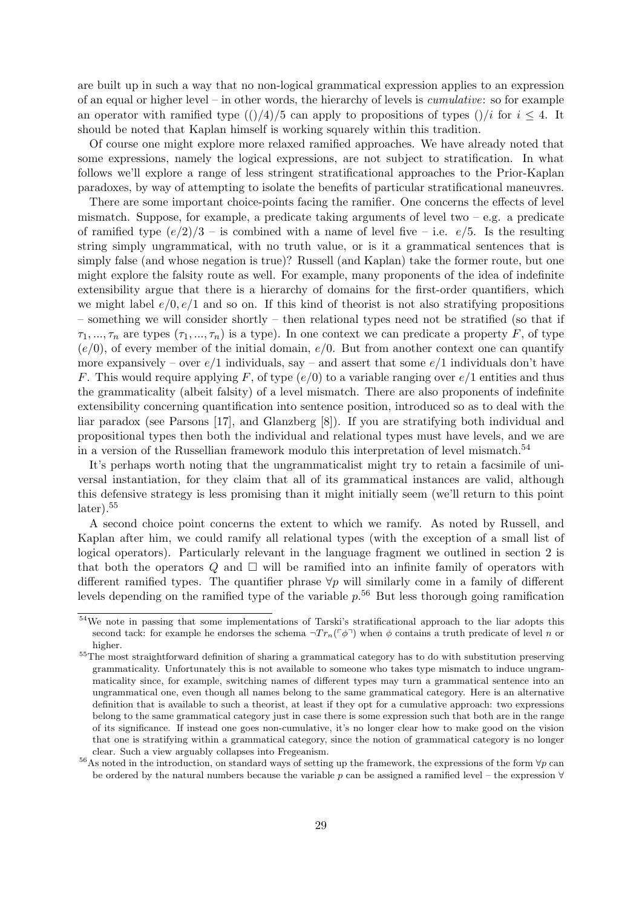are built up in such a way that no non-logical grammatical expression applies to an expression of an equal or higher level – in other words, the hierarchy of levels is cumulative: so for example an operator with ramified type  $(()/4)/5$  can apply to propositions of types  $()/i$  for  $i \leq 4$ . It should be noted that Kaplan himself is working squarely within this tradition.

Of course one might explore more relaxed ramified approaches. We have already noted that some expressions, namely the logical expressions, are not subject to stratification. In what follows we'll explore a range of less stringent stratificational approaches to the Prior-Kaplan paradoxes, by way of attempting to isolate the benefits of particular stratificational maneuvres.

There are some important choice-points facing the ramifier. One concerns the effects of level mismatch. Suppose, for example, a predicate taking arguments of level two  $-e.g.$  a predicate of ramified type  $(e/2)/3$  – is combined with a name of level five – i.e.  $e/5$ . Is the resulting string simply ungrammatical, with no truth value, or is it a grammatical sentences that is simply false (and whose negation is true)? Russell (and Kaplan) take the former route, but one might explore the falsity route as well. For example, many proponents of the idea of indefinite extensibility argue that there is a hierarchy of domains for the first-order quantifiers, which we might label  $e/0, e/1$  and so on. If this kind of theorist is not also stratifying propositions – something we will consider shortly – then relational types need not be stratified (so that if  $\tau_1, ..., \tau_n$  are types  $(\tau_1, ..., \tau_n)$  is a type). In one context we can predicate a property F, of type  $(e/0)$ , of every member of the initial domain,  $e/0$ . But from another context one can quantify more expansively – over  $e/1$  individuals, say – and assert that some  $e/1$  individuals don't have F. This would require applying F, of type  $(e/0)$  to a variable ranging over  $e/1$  entities and thus the grammaticality (albeit falsity) of a level mismatch. There are also proponents of indefinite extensibility concerning quantification into sentence position, introduced so as to deal with the liar paradox (see Parsons [17], and Glanzberg [8]). If you are stratifying both individual and propositional types then both the individual and relational types must have levels, and we are in a version of the Russellian framework modulo this interpretation of level mismatch.<sup>54</sup>

It's perhaps worth noting that the ungrammaticalist might try to retain a facsimile of universal instantiation, for they claim that all of its grammatical instances are valid, although this defensive strategy is less promising than it might initially seem (we'll return to this point  $later).<sup>55</sup>$ 

A second choice point concerns the extent to which we ramify. As noted by Russell, and Kaplan after him, we could ramify all relational types (with the exception of a small list of logical operators). Particularly relevant in the language fragment we outlined in section 2 is that both the operators  $Q$  and  $\Box$  will be ramified into an infinite family of operators with different ramified types. The quantifier phrase  $\forall p$  will similarly come in a family of different levels depending on the ramified type of the variable  $p<sup>.56</sup>$  But less thorough going ramification

<sup>54</sup>We note in passing that some implementations of Tarski's stratificational approach to the liar adopts this second tack: for example he endorses the schema  $\neg Tr_n(\ulcorner \phi \urcorner)$  when  $\phi$  contains a truth predicate of level n or higher.

<sup>&</sup>lt;sup>55</sup>The most straightforward definition of sharing a grammatical category has to do with substitution preserving grammaticality. Unfortunately this is not available to someone who takes type mismatch to induce ungrammaticality since, for example, switching names of different types may turn a grammatical sentence into an ungrammatical one, even though all names belong to the same grammatical category. Here is an alternative definition that is available to such a theorist, at least if they opt for a cumulative approach: two expressions belong to the same grammatical category just in case there is some expression such that both are in the range of its significance. If instead one goes non-cumulative, it's no longer clear how to make good on the vision that one is stratifying within a grammatical category, since the notion of grammatical category is no longer clear. Such a view arguably collapses into Fregeanism.

<sup>&</sup>lt;sup>56</sup>As noted in the introduction, on standard ways of setting up the framework, the expressions of the form  $\forall p$  can be ordered by the natural numbers because the variable p can be assigned a ramified level – the expression  $\forall$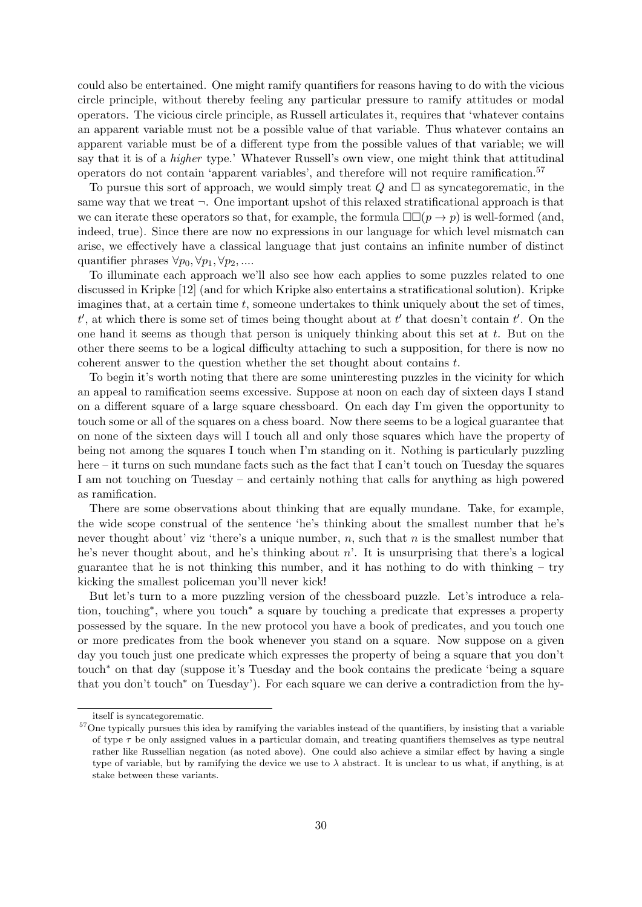could also be entertained. One might ramify quantifiers for reasons having to do with the vicious circle principle, without thereby feeling any particular pressure to ramify attitudes or modal operators. The vicious circle principle, as Russell articulates it, requires that 'whatever contains an apparent variable must not be a possible value of that variable. Thus whatever contains an apparent variable must be of a different type from the possible values of that variable; we will say that it is of a higher type.' Whatever Russell's own view, one might think that attitudinal operators do not contain 'apparent variables', and therefore will not require ramification.<sup>57</sup>

To pursue this sort of approach, we would simply treat  $Q$  and  $\Box$  as syncategorematic, in the same way that we treat  $\neg$ . One important upshot of this relaxed stratificational approach is that we can iterate these operators so that, for example, the formula  $\square \square (p \to p)$  is well-formed (and, indeed, true). Since there are now no expressions in our language for which level mismatch can arise, we effectively have a classical language that just contains an infinite number of distinct quantifier phrases  $\forall p_0, \forall p_1, \forall p_2, ...$ 

To illuminate each approach we'll also see how each applies to some puzzles related to one discussed in Kripke [12] (and for which Kripke also entertains a stratificational solution). Kripke imagines that, at a certain time  $t$ , someone undertakes to think uniquely about the set of times,  $t'$ , at which there is some set of times being thought about at  $t'$  that doesn't contain  $t'$ . On the one hand it seems as though that person is uniquely thinking about this set at  $t$ . But on the other there seems to be a logical difficulty attaching to such a supposition, for there is now no coherent answer to the question whether the set thought about contains  $t$ .

To begin it's worth noting that there are some uninteresting puzzles in the vicinity for which an appeal to ramification seems excessive. Suppose at noon on each day of sixteen days I stand on a different square of a large square chessboard. On each day I'm given the opportunity to touch some or all of the squares on a chess board. Now there seems to be a logical guarantee that on none of the sixteen days will I touch all and only those squares which have the property of being not among the squares I touch when I'm standing on it. Nothing is particularly puzzling here – it turns on such mundane facts such as the fact that I can't touch on Tuesday the squares I am not touching on Tuesday – and certainly nothing that calls for anything as high powered as ramification.

There are some observations about thinking that are equally mundane. Take, for example, the wide scope construal of the sentence 'he's thinking about the smallest number that he's never thought about' viz 'there's a unique number,  $n$ , such that  $n$  is the smallest number that he's never thought about, and he's thinking about  $n'$ . It is unsurprising that there's a logical guarantee that he is not thinking this number, and it has nothing to do with thinking  $-$  try kicking the smallest policeman you'll never kick!

But let's turn to a more puzzling version of the chessboard puzzle. Let's introduce a relation, touching<sup>∗</sup> , where you touch<sup>∗</sup> a square by touching a predicate that expresses a property possessed by the square. In the new protocol you have a book of predicates, and you touch one or more predicates from the book whenever you stand on a square. Now suppose on a given day you touch just one predicate which expresses the property of being a square that you don't touch<sup>∗</sup> on that day (suppose it's Tuesday and the book contains the predicate 'being a square that you don't touch<sup>∗</sup> on Tuesday'). For each square we can derive a contradiction from the hy-

itself is syncategorematic.

<sup>&</sup>lt;sup>57</sup>One typically pursues this idea by ramifying the variables instead of the quantifiers, by insisting that a variable of type  $\tau$  be only assigned values in a particular domain, and treating quantifiers themselves as type neutral rather like Russellian negation (as noted above). One could also achieve a similar effect by having a single type of variable, but by ramifying the device we use to  $\lambda$  abstract. It is unclear to us what, if anything, is at stake between these variants.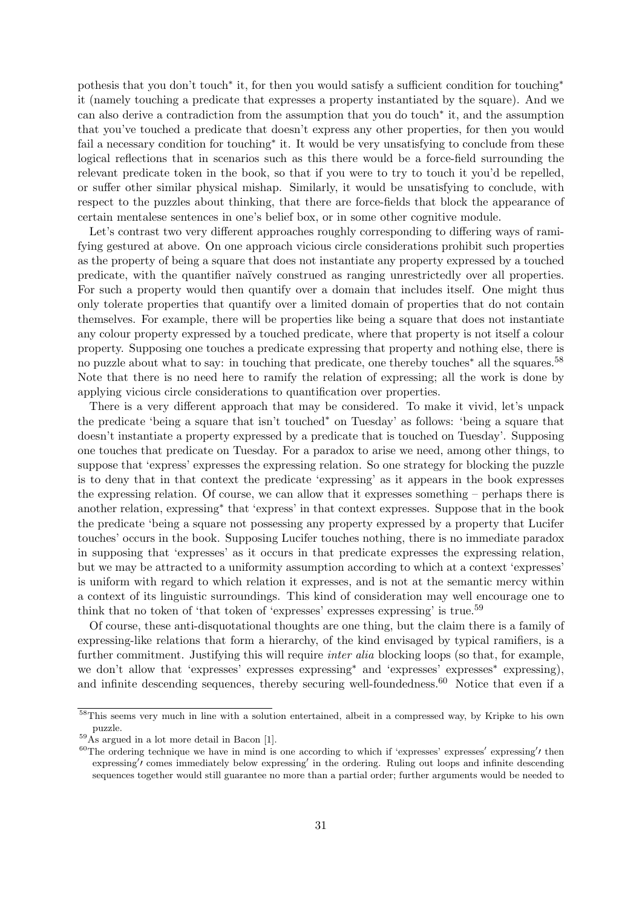pothesis that you don't touch<sup>\*</sup> it, for then you would satisfy a sufficient condition for touching<sup>\*</sup> it (namely touching a predicate that expresses a property instantiated by the square). And we can also derive a contradiction from the assumption that you do touch<sup>∗</sup> it, and the assumption that you've touched a predicate that doesn't express any other properties, for then you would fail a necessary condition for touching<sup>\*</sup> it. It would be very unsatisfying to conclude from these logical reflections that in scenarios such as this there would be a force-field surrounding the relevant predicate token in the book, so that if you were to try to touch it you'd be repelled, or suffer other similar physical mishap. Similarly, it would be unsatisfying to conclude, with respect to the puzzles about thinking, that there are force-fields that block the appearance of certain mentalese sentences in one's belief box, or in some other cognitive module.

Let's contrast two very different approaches roughly corresponding to differing ways of ramifying gestured at above. On one approach vicious circle considerations prohibit such properties as the property of being a square that does not instantiate any property expressed by a touched predicate, with the quantifier na¨ıvely construed as ranging unrestrictedly over all properties. For such a property would then quantify over a domain that includes itself. One might thus only tolerate properties that quantify over a limited domain of properties that do not contain themselves. For example, there will be properties like being a square that does not instantiate any colour property expressed by a touched predicate, where that property is not itself a colour property. Supposing one touches a predicate expressing that property and nothing else, there is no puzzle about what to say: in touching that predicate, one thereby touches<sup>∗</sup> all the squares.<sup>58</sup> Note that there is no need here to ramify the relation of expressing; all the work is done by applying vicious circle considerations to quantification over properties.

There is a very different approach that may be considered. To make it vivid, let's unpack the predicate 'being a square that isn't touched<sup>∗</sup> on Tuesday' as follows: 'being a square that doesn't instantiate a property expressed by a predicate that is touched on Tuesday'. Supposing one touches that predicate on Tuesday. For a paradox to arise we need, among other things, to suppose that 'express' expresses the expressing relation. So one strategy for blocking the puzzle is to deny that in that context the predicate 'expressing' as it appears in the book expresses the expressing relation. Of course, we can allow that it expresses something – perhaps there is another relation, expressing<sup>∗</sup> that 'express' in that context expresses. Suppose that in the book the predicate 'being a square not possessing any property expressed by a property that Lucifer touches' occurs in the book. Supposing Lucifer touches nothing, there is no immediate paradox in supposing that 'expresses' as it occurs in that predicate expresses the expressing relation, but we may be attracted to a uniformity assumption according to which at a context 'expresses' is uniform with regard to which relation it expresses, and is not at the semantic mercy within a context of its linguistic surroundings. This kind of consideration may well encourage one to think that no token of 'that token of 'expresses' expresses expressing' is true.<sup>59</sup>

Of course, these anti-disquotational thoughts are one thing, but the claim there is a family of expressing-like relations that form a hierarchy, of the kind envisaged by typical ramifiers, is a further commitment. Justifying this will require *inter alia* blocking loops (so that, for example, we don't allow that 'expresses' expresses expressing<sup>∗</sup> and 'expresses' expresses<sup>∗</sup> expressing), and infinite descending sequences, thereby securing well-foundedness.<sup>60</sup> Notice that even if a

<sup>58</sup>This seems very much in line with a solution entertained, albeit in a compressed way, by Kripke to his own puzzle.

 $^{59}$ As argued in a lot more detail in Bacon [1].

 $60$ The ordering technique we have in mind is one according to which if 'expresses' expresses' expressing' then expressing' comes immediately below expressing' in the ordering. Ruling out loops and infinite descending sequences together would still guarantee no more than a partial order; further arguments would be needed to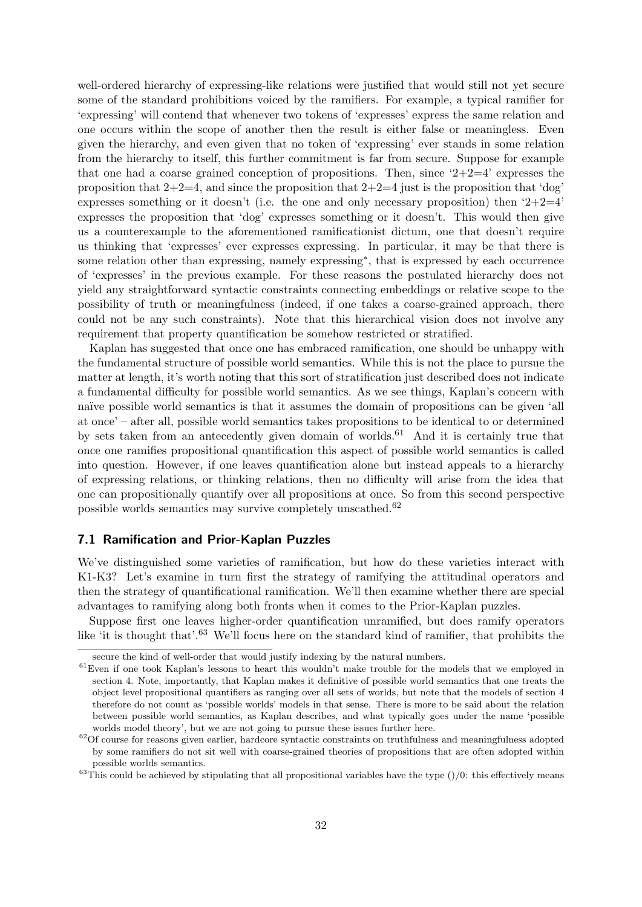well-ordered hierarchy of expressing-like relations were justified that would still not yet secure some of the standard prohibitions voiced by the ramifiers. For example, a typical ramifier for 'expressing' will contend that whenever two tokens of 'expresses' express the same relation and one occurs within the scope of another then the result is either false or meaningless. Even given the hierarchy, and even given that no token of 'expressing' ever stands in some relation from the hierarchy to itself, this further commitment is far from secure. Suppose for example that one had a coarse grained conception of propositions. Then, since  $2+2=4$  expresses the proposition that  $2+2=4$ , and since the proposition that  $2+2=4$  just is the proposition that 'dog' expresses something or it doesn't (i.e. the one and only necessary proposition) then  $2+2=4$ ' expresses the proposition that 'dog' expresses something or it doesn't. This would then give us a counterexample to the aforementioned ramificationist dictum, one that doesn't require us thinking that 'expresses' ever expresses expressing. In particular, it may be that there is some relation other than expressing, namely expressing<sup>\*</sup>, that is expressed by each occurrence of 'expresses' in the previous example. For these reasons the postulated hierarchy does not yield any straightforward syntactic constraints connecting embeddings or relative scope to the possibility of truth or meaningfulness (indeed, if one takes a coarse-grained approach, there could not be any such constraints). Note that this hierarchical vision does not involve any requirement that property quantification be somehow restricted or stratified.

Kaplan has suggested that once one has embraced ramification, one should be unhappy with the fundamental structure of possible world semantics. While this is not the place to pursue the matter at length, it's worth noting that this sort of stratification just described does not indicate a fundamental difficulty for possible world semantics. As we see things, Kaplan's concern with naïve possible world semantics is that it assumes the domain of propositions can be given 'all at once' – after all, possible world semantics takes propositions to be identical to or determined by sets taken from an antecedently given domain of worlds.<sup>61</sup> And it is certainly true that once one ramifies propositional quantification this aspect of possible world semantics is called into question. However, if one leaves quantification alone but instead appeals to a hierarchy of expressing relations, or thinking relations, then no difficulty will arise from the idea that one can propositionally quantify over all propositions at once. So from this second perspective possible worlds semantics may survive completely unscathed.<sup>62</sup>

#### 7.1 Ramification and Prior-Kaplan Puzzles

We've distinguished some varieties of ramification, but how do these varieties interact with K1-K3? Let's examine in turn first the strategy of ramifying the attitudinal operators and then the strategy of quantificational ramification. We'll then examine whether there are special advantages to ramifying along both fronts when it comes to the Prior-Kaplan puzzles.

Suppose first one leaves higher-order quantification unramified, but does ramify operators like 'it is thought that'.<sup>63</sup> We'll focus here on the standard kind of ramifier, that prohibits the

secure the kind of well-order that would justify indexing by the natural numbers.

 $61$ Even if one took Kaplan's lessons to heart this wouldn't make trouble for the models that we employed in section 4. Note, importantly, that Kaplan makes it definitive of possible world semantics that one treats the object level propositional quantifiers as ranging over all sets of worlds, but note that the models of section 4 therefore do not count as 'possible worlds' models in that sense. There is more to be said about the relation between possible world semantics, as Kaplan describes, and what typically goes under the name 'possible worlds model theory', but we are not going to pursue these issues further here.

 $62$ Of course for reasons given earlier, hardcore syntactic constraints on truthfulness and meaningfulness adopted by some ramifiers do not sit well with coarse-grained theories of propositions that are often adopted within possible worlds semantics.

 $63$ This could be achieved by stipulating that all propositional variables have the type  $\frac{1}{0}$ : this effectively means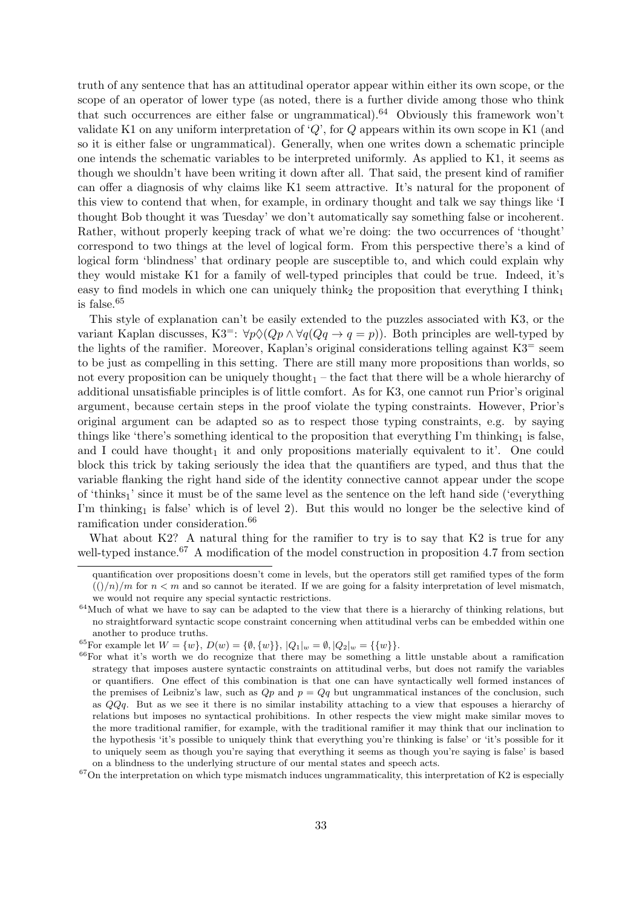truth of any sentence that has an attitudinal operator appear within either its own scope, or the scope of an operator of lower type (as noted, there is a further divide among those who think that such occurrences are either false or ungrammatical).<sup>64</sup> Obviously this framework won't validate K1 on any uniform interpretation of  $Q'$ , for  $Q$  appears within its own scope in K1 (and so it is either false or ungrammatical). Generally, when one writes down a schematic principle one intends the schematic variables to be interpreted uniformly. As applied to K1, it seems as though we shouldn't have been writing it down after all. That said, the present kind of ramifier can offer a diagnosis of why claims like K1 seem attractive. It's natural for the proponent of this view to contend that when, for example, in ordinary thought and talk we say things like 'I thought Bob thought it was Tuesday' we don't automatically say something false or incoherent. Rather, without properly keeping track of what we're doing: the two occurrences of 'thought' correspond to two things at the level of logical form. From this perspective there's a kind of logical form 'blindness' that ordinary people are susceptible to, and which could explain why they would mistake K1 for a family of well-typed principles that could be true. Indeed, it's easy to find models in which one can uniquely think<sub>2</sub> the proposition that everything I think<sub>1</sub> is false.<sup>65</sup>

This style of explanation can't be easily extended to the puzzles associated with K3, or the variant Kaplan discusses, K3<sup>=</sup>:  $\forall p \Diamond (Qp \land \forall q (Qq \rightarrow q = p))$ . Both principles are well-typed by the lights of the ramifier. Moreover, Kaplan's original considerations telling against  $K3$ <sup>=</sup> seem to be just as compelling in this setting. There are still many more propositions than worlds, so not every proposition can be uniquely thought<sub>1</sub> – the fact that there will be a whole hierarchy of additional unsatisfiable principles is of little comfort. As for K3, one cannot run Prior's original argument, because certain steps in the proof violate the typing constraints. However, Prior's original argument can be adapted so as to respect those typing constraints, e.g. by saying things like 'there's something identical to the proposition that everything  $\Gamma$ m thinking<sub>1</sub> is false, and I could have thought<sub>1</sub> it and only propositions materially equivalent to it'. One could block this trick by taking seriously the idea that the quantifiers are typed, and thus that the variable flanking the right hand side of the identity connective cannot appear under the scope of 'thinks1' since it must be of the same level as the sentence on the left hand side ('everything I'm thinking<sub>1</sub> is false' which is of level 2). But this would no longer be the selective kind of ramification under consideration.<sup>66</sup>

What about K2? A natural thing for the ramifier to try is to say that K2 is true for any well-typed instance.<sup>67</sup> A modification of the model construction in proposition 4.7 from section

quantification over propositions doesn't come in levels, but the operators still get ramified types of the form  $\left(\frac{\gamma}{n}\right)/m$  for  $n < m$  and so cannot be iterated. If we are going for a falsity interpretation of level mismatch, we would not require any special syntactic restrictions.

<sup>64</sup>Much of what we have to say can be adapted to the view that there is a hierarchy of thinking relations, but no straightforward syntactic scope constraint concerning when attitudinal verbs can be embedded within one another to produce truths.

<sup>&</sup>lt;sup>65</sup>For example let  $W = \{w\}$ ,  $D(w) = \{\emptyset, \{w\}\}$ ,  $|Q_1|_w = \emptyset$ ,  $|Q_2|_w = \{\{w\}\}.$ 

<sup>66</sup>For what it's worth we do recognize that there may be something a little unstable about a ramification strategy that imposes austere syntactic constraints on attitudinal verbs, but does not ramify the variables or quantifiers. One effect of this combination is that one can have syntactically well formed instances of the premises of Leibniz's law, such as  $Qp$  and  $p = Qq$  but ungrammatical instances of the conclusion, such as QQq. But as we see it there is no similar instability attaching to a view that espouses a hierarchy of relations but imposes no syntactical prohibitions. In other respects the view might make similar moves to the more traditional ramifier, for example, with the traditional ramifier it may think that our inclination to the hypothesis 'it's possible to uniquely think that everything you're thinking is false' or 'it's possible for it to uniquely seem as though you're saying that everything it seems as though you're saying is false' is based on a blindness to the underlying structure of our mental states and speech acts.

 $67$ On the interpretation on which type mismatch induces ungrammaticality, this interpretation of K2 is especially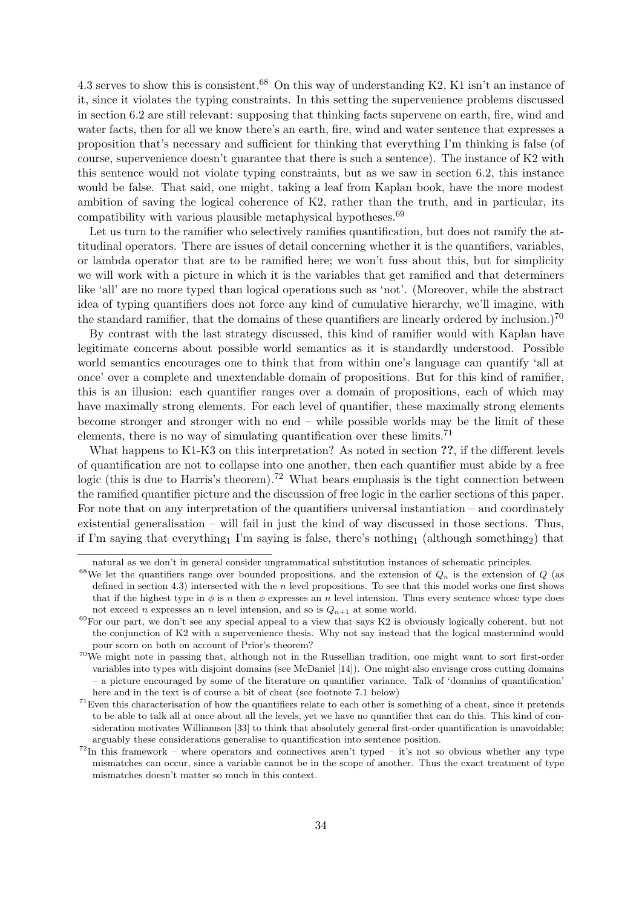4.3 serves to show this is consistent.<sup>68</sup> On this way of understanding K2, K1 isn't an instance of it, since it violates the typing constraints. In this setting the supervenience problems discussed in section 6.2 are still relevant: supposing that thinking facts supervene on earth, fire, wind and water facts, then for all we know there's an earth, fire, wind and water sentence that expresses a proposition that's necessary and sufficient for thinking that everything I'm thinking is false (of course, supervenience doesn't guarantee that there is such a sentence). The instance of K2 with this sentence would not violate typing constraints, but as we saw in section 6.2, this instance would be false. That said, one might, taking a leaf from Kaplan book, have the more modest ambition of saving the logical coherence of K2, rather than the truth, and in particular, its compatibility with various plausible metaphysical hypotheses.<sup>69</sup>

Let us turn to the ramifier who selectively ramifies quantification, but does not ramify the attitudinal operators. There are issues of detail concerning whether it is the quantifiers, variables, or lambda operator that are to be ramified here; we won't fuss about this, but for simplicity we will work with a picture in which it is the variables that get ramified and that determiners like 'all' are no more typed than logical operations such as 'not'. (Moreover, while the abstract idea of typing quantifiers does not force any kind of cumulative hierarchy, we'll imagine, with the standard ramifier, that the domains of these quantifiers are linearly ordered by inclusion.)<sup>70</sup>

By contrast with the last strategy discussed, this kind of ramifier would with Kaplan have legitimate concerns about possible world semantics as it is standardly understood. Possible world semantics encourages one to think that from within one's language can quantify 'all at once' over a complete and unextendable domain of propositions. But for this kind of ramifier, this is an illusion: each quantifier ranges over a domain of propositions, each of which may have maximally strong elements. For each level of quantifier, these maximally strong elements become stronger and stronger with no end – while possible worlds may be the limit of these elements, there is no way of simulating quantification over these limits.<sup>71</sup>

What happens to K1-K3 on this interpretation? As noted in section ??, if the different levels of quantification are not to collapse into one another, then each quantifier must abide by a free logic (this is due to Harris's theorem).<sup>72</sup> What bears emphasis is the tight connection between the ramified quantifier picture and the discussion of free logic in the earlier sections of this paper. For note that on any interpretation of the quantifiers universal instantiation – and coordinately existential generalisation – will fail in just the kind of way discussed in those sections. Thus, if I'm saying that everything<sub>1</sub> I'm saying is false, there's nothing<sub>1</sub> (although something<sub>2</sub>) that

natural as we don't in general consider ungrammatical substitution instances of schematic principles.

<sup>&</sup>lt;sup>68</sup>We let the quantifiers range over bounded propositions, and the extension of  $Q_n$  is the extension of  $Q$  (as defined in section 4.3) intersected with the n level propositions. To see that this model works one first shows that if the highest type in  $\phi$  is n then  $\phi$  expresses an n level intension. Thus every sentence whose type does not exceed *n* expresses an *n* level intension, and so is  $Q_{n+1}$  at some world.

<sup>69</sup>For our part, we don't see any special appeal to a view that says K2 is obviously logically coherent, but not the conjunction of K2 with a supervenience thesis. Why not say instead that the logical mastermind would pour scorn on both on account of Prior's theorem?

<sup>70</sup>We might note in passing that, although not in the Russellian tradition, one might want to sort first-order variables into types with disjoint domains (see McDaniel [14]). One might also envisage cross cutting domains – a picture encouraged by some of the literature on quantifier variance. Talk of 'domains of quantification' here and in the text is of course a bit of cheat (see footnote 7.1 below)

 $71$ Even this characterisation of how the quantifiers relate to each other is something of a cheat, since it pretends to be able to talk all at once about all the levels, yet we have no quantifier that can do this. This kind of consideration motivates Williamson [33] to think that absolutely general first-order quantification is unavoidable; arguably these considerations generalise to quantification into sentence position.

 $72$ In this framework – where operators and connectives aren't typed – it's not so obvious whether any type mismatches can occur, since a variable cannot be in the scope of another. Thus the exact treatment of type mismatches doesn't matter so much in this context.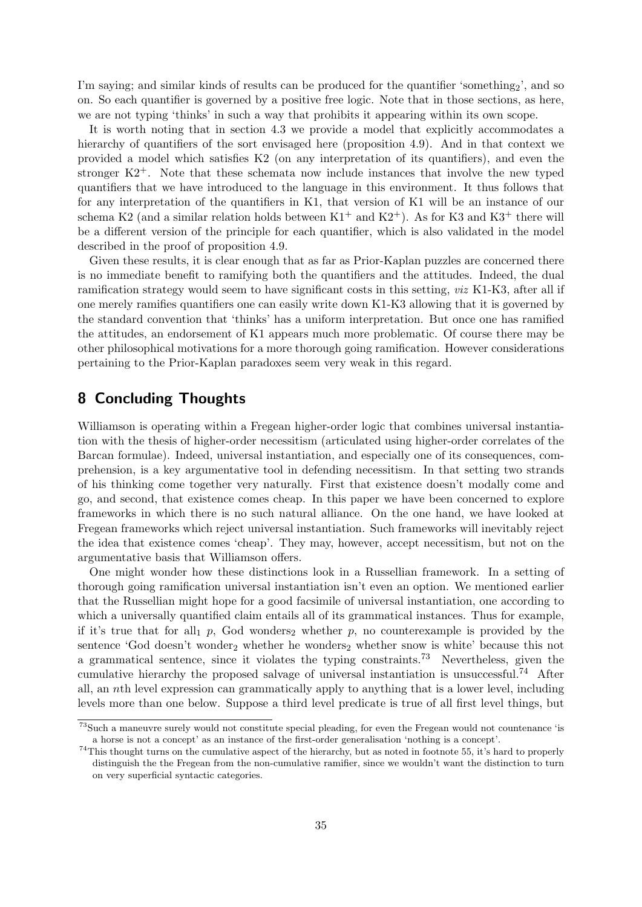I'm saying; and similar kinds of results can be produced for the quantifier 'something<sub>2</sub>', and so on. So each quantifier is governed by a positive free logic. Note that in those sections, as here, we are not typing 'thinks' in such a way that prohibits it appearing within its own scope.

It is worth noting that in section 4.3 we provide a model that explicitly accommodates a hierarchy of quantifiers of the sort envisaged here (proposition 4.9). And in that context we provided a model which satisfies K2 (on any interpretation of its quantifiers), and even the stronger K2+. Note that these schemata now include instances that involve the new typed quantifiers that we have introduced to the language in this environment. It thus follows that for any interpretation of the quantifiers in K1, that version of K1 will be an instance of our schema K2 (and a similar relation holds between  $K1^+$  and  $K2^+$ ). As for K3 and K3<sup>+</sup> there will be a different version of the principle for each quantifier, which is also validated in the model described in the proof of proposition 4.9.

Given these results, it is clear enough that as far as Prior-Kaplan puzzles are concerned there is no immediate benefit to ramifying both the quantifiers and the attitudes. Indeed, the dual ramification strategy would seem to have significant costs in this setting, viz K1-K3, after all if one merely ramifies quantifiers one can easily write down K1-K3 allowing that it is governed by the standard convention that 'thinks' has a uniform interpretation. But once one has ramified the attitudes, an endorsement of K1 appears much more problematic. Of course there may be other philosophical motivations for a more thorough going ramification. However considerations pertaining to the Prior-Kaplan paradoxes seem very weak in this regard.

### 8 Concluding Thoughts

Williamson is operating within a Fregean higher-order logic that combines universal instantiation with the thesis of higher-order necessitism (articulated using higher-order correlates of the Barcan formulae). Indeed, universal instantiation, and especially one of its consequences, comprehension, is a key argumentative tool in defending necessitism. In that setting two strands of his thinking come together very naturally. First that existence doesn't modally come and go, and second, that existence comes cheap. In this paper we have been concerned to explore frameworks in which there is no such natural alliance. On the one hand, we have looked at Fregean frameworks which reject universal instantiation. Such frameworks will inevitably reject the idea that existence comes 'cheap'. They may, however, accept necessitism, but not on the argumentative basis that Williamson offers.

One might wonder how these distinctions look in a Russellian framework. In a setting of thorough going ramification universal instantiation isn't even an option. We mentioned earlier that the Russellian might hope for a good facsimile of universal instantiation, one according to which a universally quantified claim entails all of its grammatical instances. Thus for example, if it's true that for all  $p$ , God wonders<sub>2</sub> whether p, no counterexample is provided by the sentence 'God doesn't wonder<sub>2</sub> whether he wonders<sub>2</sub> whether snow is white' because this not a grammatical sentence, since it violates the typing constraints.<sup>73</sup> Nevertheless, given the cumulative hierarchy the proposed salvage of universal instantiation is unsuccessful.<sup>74</sup> After all, an nth level expression can grammatically apply to anything that is a lower level, including levels more than one below. Suppose a third level predicate is true of all first level things, but

<sup>73</sup>Such a maneuvre surely would not constitute special pleading, for even the Fregean would not countenance 'is a horse is not a concept' as an instance of the first-order generalisation 'nothing is a concept'.

 $^{74}$ This thought turns on the cumulative aspect of the hierarchy, but as noted in footnote 55, it's hard to properly distinguish the the Fregean from the non-cumulative ramifier, since we wouldn't want the distinction to turn on very superficial syntactic categories.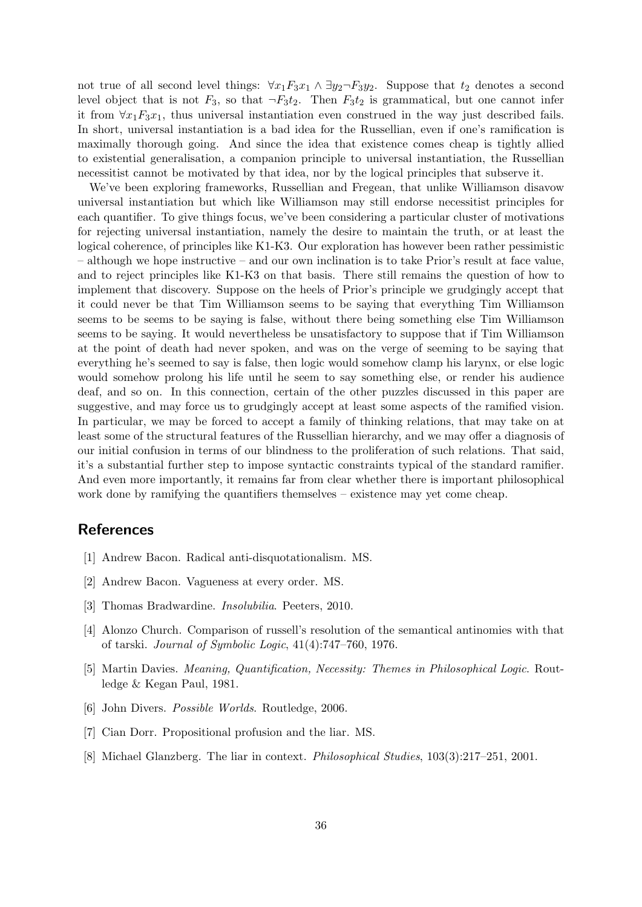not true of all second level things:  $\forall x_1 F_3 x_1 \land \exists y_2 \neg F_3 y_2$ . Suppose that  $t_2$  denotes a second level object that is not  $F_3$ , so that  $\neg F_3t_2$ . Then  $F_3t_2$  is grammatical, but one cannot infer it from  $\forall x_1 F_3 x_1$ , thus universal instantiation even construed in the way just described fails. In short, universal instantiation is a bad idea for the Russellian, even if one's ramification is maximally thorough going. And since the idea that existence comes cheap is tightly allied to existential generalisation, a companion principle to universal instantiation, the Russellian necessitist cannot be motivated by that idea, nor by the logical principles that subserve it.

We've been exploring frameworks, Russellian and Fregean, that unlike Williamson disavow universal instantiation but which like Williamson may still endorse necessitist principles for each quantifier. To give things focus, we've been considering a particular cluster of motivations for rejecting universal instantiation, namely the desire to maintain the truth, or at least the logical coherence, of principles like K1-K3. Our exploration has however been rather pessimistic – although we hope instructive – and our own inclination is to take Prior's result at face value, and to reject principles like K1-K3 on that basis. There still remains the question of how to implement that discovery. Suppose on the heels of Prior's principle we grudgingly accept that it could never be that Tim Williamson seems to be saying that everything Tim Williamson seems to be seems to be saying is false, without there being something else Tim Williamson seems to be saying. It would nevertheless be unsatisfactory to suppose that if Tim Williamson at the point of death had never spoken, and was on the verge of seeming to be saying that everything he's seemed to say is false, then logic would somehow clamp his larynx, or else logic would somehow prolong his life until he seem to say something else, or render his audience deaf, and so on. In this connection, certain of the other puzzles discussed in this paper are suggestive, and may force us to grudgingly accept at least some aspects of the ramified vision. In particular, we may be forced to accept a family of thinking relations, that may take on at least some of the structural features of the Russellian hierarchy, and we may offer a diagnosis of our initial confusion in terms of our blindness to the proliferation of such relations. That said, it's a substantial further step to impose syntactic constraints typical of the standard ramifier. And even more importantly, it remains far from clear whether there is important philosophical work done by ramifying the quantifiers themselves – existence may yet come cheap.

### References

- [1] Andrew Bacon. Radical anti-disquotationalism. MS.
- [2] Andrew Bacon. Vagueness at every order. MS.
- [3] Thomas Bradwardine. Insolubilia. Peeters, 2010.
- [4] Alonzo Church. Comparison of russell's resolution of the semantical antinomies with that of tarski. Journal of Symbolic Logic, 41(4):747–760, 1976.
- [5] Martin Davies. Meaning, Quantification, Necessity: Themes in Philosophical Logic. Routledge & Kegan Paul, 1981.
- [6] John Divers. Possible Worlds. Routledge, 2006.
- [7] Cian Dorr. Propositional profusion and the liar. MS.
- [8] Michael Glanzberg. The liar in context. Philosophical Studies, 103(3):217–251, 2001.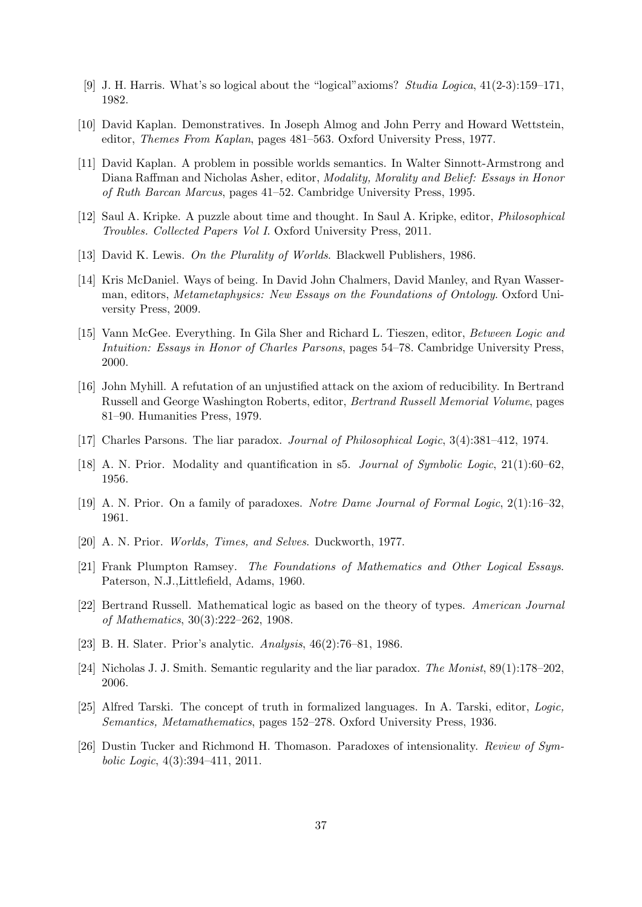- [9] J. H. Harris. What's so logical about the "logical"axioms? Studia Logica, 41(2-3):159–171, 1982.
- [10] David Kaplan. Demonstratives. In Joseph Almog and John Perry and Howard Wettstein, editor, Themes From Kaplan, pages 481–563. Oxford University Press, 1977.
- [11] David Kaplan. A problem in possible worlds semantics. In Walter Sinnott-Armstrong and Diana Raffman and Nicholas Asher, editor, Modality, Morality and Belief: Essays in Honor of Ruth Barcan Marcus, pages 41–52. Cambridge University Press, 1995.
- [12] Saul A. Kripke. A puzzle about time and thought. In Saul A. Kripke, editor, Philosophical Troubles. Collected Papers Vol I. Oxford University Press, 2011.
- [13] David K. Lewis. On the Plurality of Worlds. Blackwell Publishers, 1986.
- [14] Kris McDaniel. Ways of being. In David John Chalmers, David Manley, and Ryan Wasserman, editors, Metametaphysics: New Essays on the Foundations of Ontology. Oxford University Press, 2009.
- [15] Vann McGee. Everything. In Gila Sher and Richard L. Tieszen, editor, Between Logic and Intuition: Essays in Honor of Charles Parsons, pages 54–78. Cambridge University Press, 2000.
- [16] John Myhill. A refutation of an unjustified attack on the axiom of reducibility. In Bertrand Russell and George Washington Roberts, editor, Bertrand Russell Memorial Volume, pages 81–90. Humanities Press, 1979.
- [17] Charles Parsons. The liar paradox. Journal of Philosophical Logic, 3(4):381–412, 1974.
- [18] A. N. Prior. Modality and quantification in s5. Journal of Symbolic Logic, 21(1):60–62, 1956.
- [19] A. N. Prior. On a family of paradoxes. Notre Dame Journal of Formal Logic, 2(1):16-32, 1961.
- [20] A. N. Prior. Worlds, Times, and Selves. Duckworth, 1977.
- [21] Frank Plumpton Ramsey. The Foundations of Mathematics and Other Logical Essays. Paterson, N.J.,Littlefield, Adams, 1960.
- [22] Bertrand Russell. Mathematical logic as based on the theory of types. American Journal of Mathematics, 30(3):222–262, 1908.
- [23] B. H. Slater. Prior's analytic. Analysis, 46(2):76–81, 1986.
- [24] Nicholas J. J. Smith. Semantic regularity and the liar paradox. The Monist, 89(1):178–202, 2006.
- [25] Alfred Tarski. The concept of truth in formalized languages. In A. Tarski, editor, Logic, Semantics, Metamathematics, pages 152–278. Oxford University Press, 1936.
- [26] Dustin Tucker and Richmond H. Thomason. Paradoxes of intensionality. Review of Symbolic Logic, 4(3):394–411, 2011.